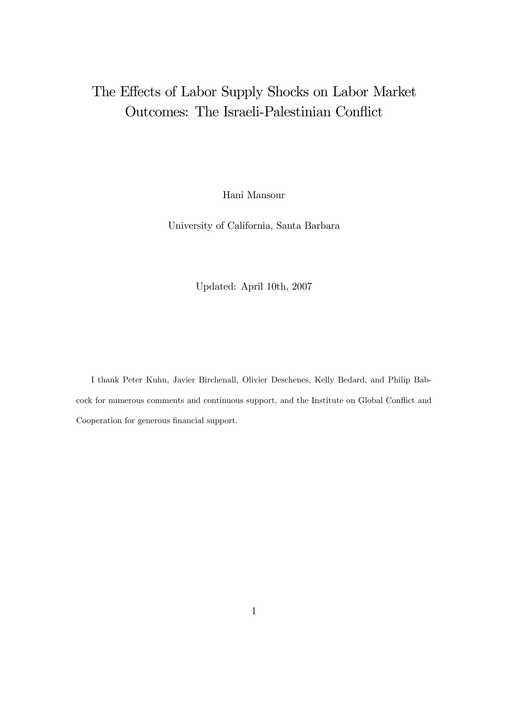# The Effects of Labor Supply Shocks on Labor Market Outcomes: The Israeli-Palestinian Conflict

Hani Mansour

University of California, Santa Barbara

Updated: April 10th, 2007

I thank Peter Kuhn, Javier Birchenall, Olivier Deschenes, Kelly Bedard, and Philip Babcock for numerous comments and continuous support, and the Institute on Global Conflict and Cooperation for generous financial support.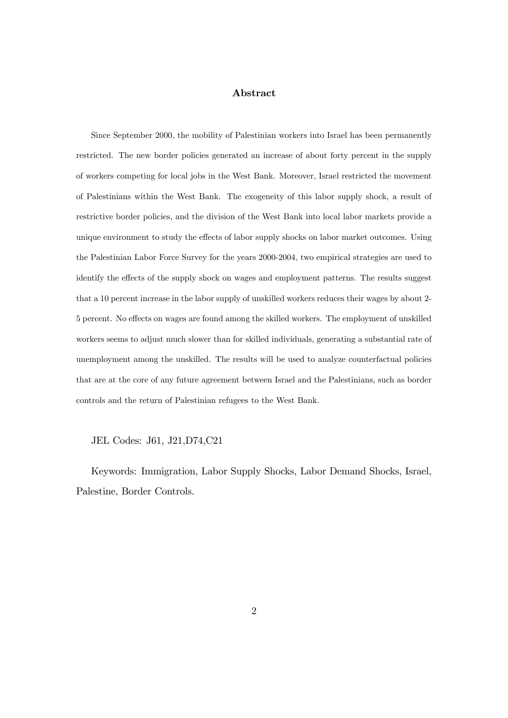#### Abstract

Since September 2000, the mobility of Palestinian workers into Israel has been permanently restricted. The new border policies generated an increase of about forty percent in the supply of workers competing for local jobs in the West Bank. Moreover, Israel restricted the movement of Palestinians within the West Bank. The exogeneity of this labor supply shock, a result of restrictive border policies, and the division of the West Bank into local labor markets provide a unique environment to study the effects of labor supply shocks on labor market outcomes. Using the Palestinian Labor Force Survey for the years 2000-2004, two empirical strategies are used to identify the effects of the supply shock on wages and employment patterns. The results suggest that a 10 percent increase in the labor supply of unskilled workers reduces their wages by about 2- 5 percent. No effects on wages are found among the skilled workers. The employment of unskilled workers seems to adjust much slower than for skilled individuals, generating a substantial rate of unemployment among the unskilled. The results will be used to analyze counterfactual policies that are at the core of any future agreement between Israel and the Palestinians, such as border controls and the return of Palestinian refugees to the West Bank.

#### JEL Codes: J61, J21,D74,C21

Keywords: Immigration, Labor Supply Shocks, Labor Demand Shocks, Israel, Palestine, Border Controls.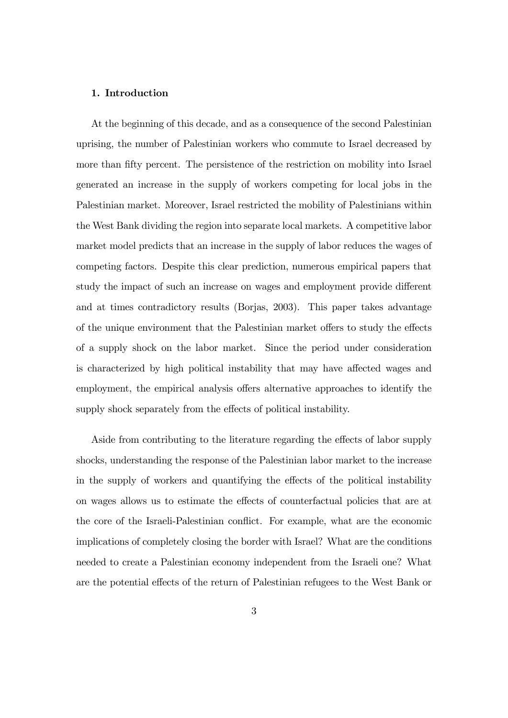#### 1. Introduction

At the beginning of this decade, and as a consequence of the second Palestinian uprising, the number of Palestinian workers who commute to Israel decreased by more than fifty percent. The persistence of the restriction on mobility into Israel generated an increase in the supply of workers competing for local jobs in the Palestinian market. Moreover, Israel restricted the mobility of Palestinians within the West Bank dividing the region into separate local markets. A competitive labor market model predicts that an increase in the supply of labor reduces the wages of competing factors. Despite this clear prediction, numerous empirical papers that study the impact of such an increase on wages and employment provide different and at times contradictory results (Borjas, 2003). This paper takes advantage of the unique environment that the Palestinian market offers to study the effects of a supply shock on the labor market. Since the period under consideration is characterized by high political instability that may have affected wages and employment, the empirical analysis offers alternative approaches to identify the supply shock separately from the effects of political instability.

Aside from contributing to the literature regarding the effects of labor supply shocks, understanding the response of the Palestinian labor market to the increase in the supply of workers and quantifying the effects of the political instability on wages allows us to estimate the effects of counterfactual policies that are at the core of the Israeli-Palestinian conflict. For example, what are the economic implications of completely closing the border with Israel? What are the conditions needed to create a Palestinian economy independent from the Israeli one? What are the potential effects of the return of Palestinian refugees to the West Bank or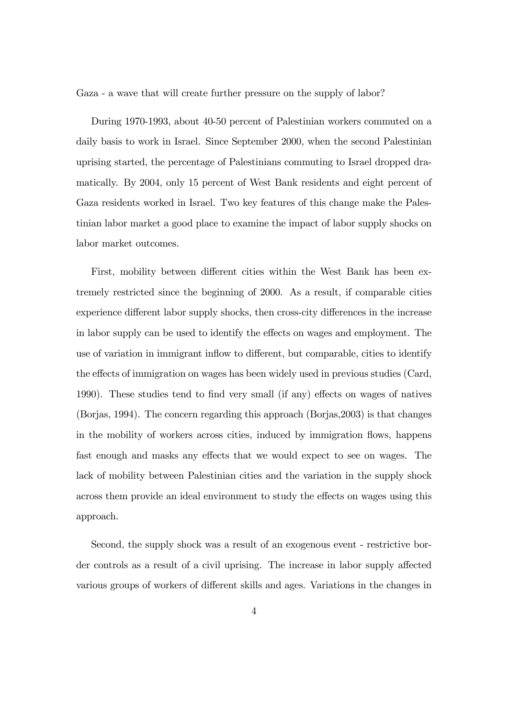Gaza - a wave that will create further pressure on the supply of labor?

During 1970-1993, about 40-50 percent of Palestinian workers commuted on a daily basis to work in Israel. Since September 2000, when the second Palestinian uprising started, the percentage of Palestinians commuting to Israel dropped dramatically. By 2004, only 15 percent of West Bank residents and eight percent of Gaza residents worked in Israel. Two key features of this change make the Palestinian labor market a good place to examine the impact of labor supply shocks on labor market outcomes.

First, mobility between different cities within the West Bank has been extremely restricted since the beginning of 2000. As a result, if comparable cities experience different labor supply shocks, then cross-city differences in the increase in labor supply can be used to identify the effects on wages and employment. The use of variation in immigrant inflow to different, but comparable, cities to identify the effects of immigration on wages has been widely used in previous studies (Card, 1990). These studies tend to find very small (if any) effects on wages of natives (Borjas, 1994). The concern regarding this approach (Borjas,2003) is that changes in the mobility of workers across cities, induced by immigration flows, happens fast enough and masks any effects that we would expect to see on wages. The lack of mobility between Palestinian cities and the variation in the supply shock across them provide an ideal environment to study the effects on wages using this approach.

Second, the supply shock was a result of an exogenous event - restrictive border controls as a result of a civil uprising. The increase in labor supply affected various groups of workers of different skills and ages. Variations in the changes in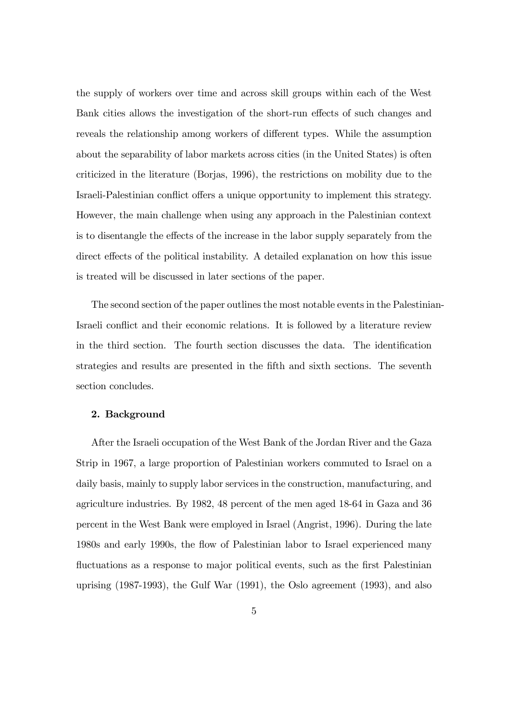the supply of workers over time and across skill groups within each of the West Bank cities allows the investigation of the short-run effects of such changes and reveals the relationship among workers of different types. While the assumption about the separability of labor markets across cities (in the United States) is often criticized in the literature (Borjas, 1996), the restrictions on mobility due to the Israeli-Palestinian conflict offers a unique opportunity to implement this strategy. However, the main challenge when using any approach in the Palestinian context is to disentangle the effects of the increase in the labor supply separately from the direct effects of the political instability. A detailed explanation on how this issue is treated will be discussed in later sections of the paper.

The second section of the paper outlines the most notable events in the Palestinian-Israeli conflict and their economic relations. It is followed by a literature review in the third section. The fourth section discusses the data. The identification strategies and results are presented in the Öfth and sixth sections. The seventh section concludes.

#### 2. Background

After the Israeli occupation of the West Bank of the Jordan River and the Gaza Strip in 1967, a large proportion of Palestinian workers commuted to Israel on a daily basis, mainly to supply labor services in the construction, manufacturing, and agriculture industries. By 1982, 48 percent of the men aged 18-64 in Gaza and 36 percent in the West Bank were employed in Israel (Angrist, 1996). During the late 1980s and early 1990s, the flow of Palestinian labor to Israel experienced many fluctuations as a response to major political events, such as the first Palestinian uprising (1987-1993), the Gulf War (1991), the Oslo agreement (1993), and also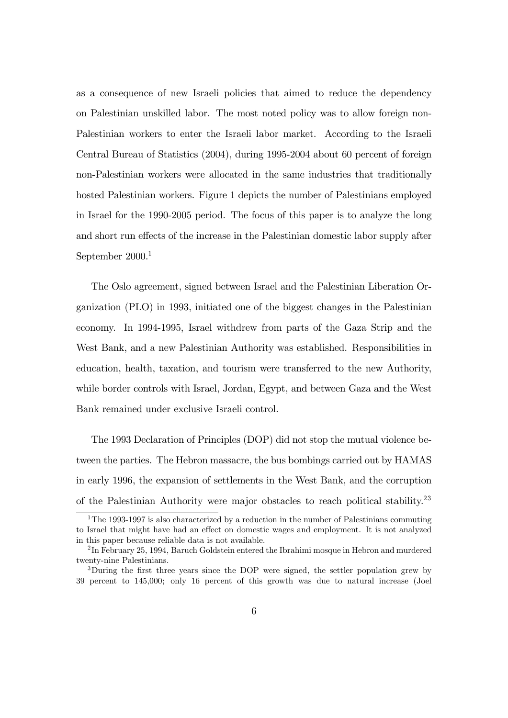as a consequence of new Israeli policies that aimed to reduce the dependency on Palestinian unskilled labor. The most noted policy was to allow foreign non-Palestinian workers to enter the Israeli labor market. According to the Israeli Central Bureau of Statistics (2004), during 1995-2004 about 60 percent of foreign non-Palestinian workers were allocated in the same industries that traditionally hosted Palestinian workers. Figure 1 depicts the number of Palestinians employed in Israel for the 1990-2005 period. The focus of this paper is to analyze the long and short run effects of the increase in the Palestinian domestic labor supply after September 2000.<sup>1</sup>

The Oslo agreement, signed between Israel and the Palestinian Liberation Organization (PLO) in 1993, initiated one of the biggest changes in the Palestinian economy. In 1994-1995, Israel withdrew from parts of the Gaza Strip and the West Bank, and a new Palestinian Authority was established. Responsibilities in education, health, taxation, and tourism were transferred to the new Authority, while border controls with Israel, Jordan, Egypt, and between Gaza and the West Bank remained under exclusive Israeli control.

The 1993 Declaration of Principles (DOP) did not stop the mutual violence between the parties. The Hebron massacre, the bus bombings carried out by HAMAS in early 1996, the expansion of settlements in the West Bank, and the corruption of the Palestinian Authority were major obstacles to reach political stability.<sup>23</sup>

<sup>&</sup>lt;sup>1</sup>The 1993-1997 is also characterized by a reduction in the number of Palestinians commuting to Israel that might have had an effect on domestic wages and employment. It is not analyzed in this paper because reliable data is not available.

 $^{2}$ In February 25, 1994, Baruch Goldstein entered the Ibrahimi mosque in Hebron and murdered twenty-nine Palestinians.

<sup>&</sup>lt;sup>3</sup>During the first three years since the DOP were signed, the settler population grew by 39 percent to 145,000; only 16 percent of this growth was due to natural increase (Joel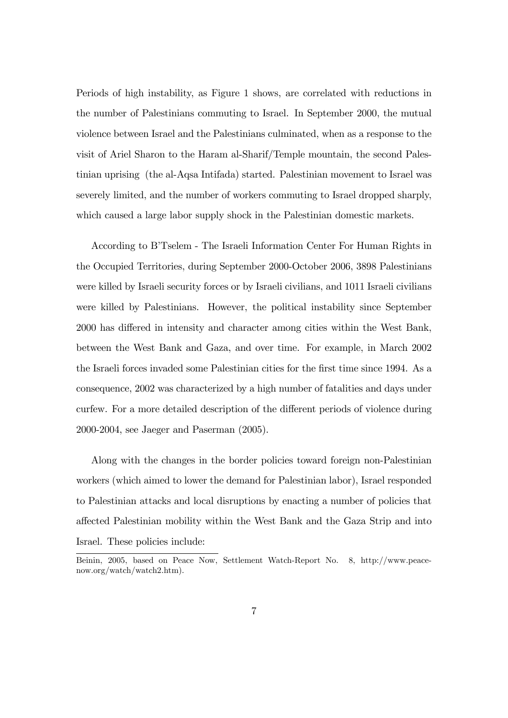Periods of high instability, as Figure 1 shows, are correlated with reductions in the number of Palestinians commuting to Israel. In September 2000, the mutual violence between Israel and the Palestinians culminated, when as a response to the visit of Ariel Sharon to the Haram al-Sharif/Temple mountain, the second Palestinian uprising (the al-Aqsa Intifada) started. Palestinian movement to Israel was severely limited, and the number of workers commuting to Israel dropped sharply, which caused a large labor supply shock in the Palestinian domestic markets.

According to B'Tselem - The Israeli Information Center For Human Rights in the Occupied Territories, during September 2000-October 2006, 3898 Palestinians were killed by Israeli security forces or by Israeli civilians, and 1011 Israeli civilians were killed by Palestinians. However, the political instability since September 2000 has differed in intensity and character among cities within the West Bank, between the West Bank and Gaza, and over time. For example, in March 2002 the Israeli forces invaded some Palestinian cities for the first time since 1994. As a consequence, 2002 was characterized by a high number of fatalities and days under curfew. For a more detailed description of the different periods of violence during 2000-2004, see Jaeger and Paserman (2005).

Along with the changes in the border policies toward foreign non-Palestinian workers (which aimed to lower the demand for Palestinian labor), Israel responded to Palestinian attacks and local disruptions by enacting a number of policies that a§ected Palestinian mobility within the West Bank and the Gaza Strip and into Israel. These policies include:

Beinin, 2005, based on Peace Now, Settlement Watch-Report No. 8, http://www.peacenow.org/watch/watch2.htm).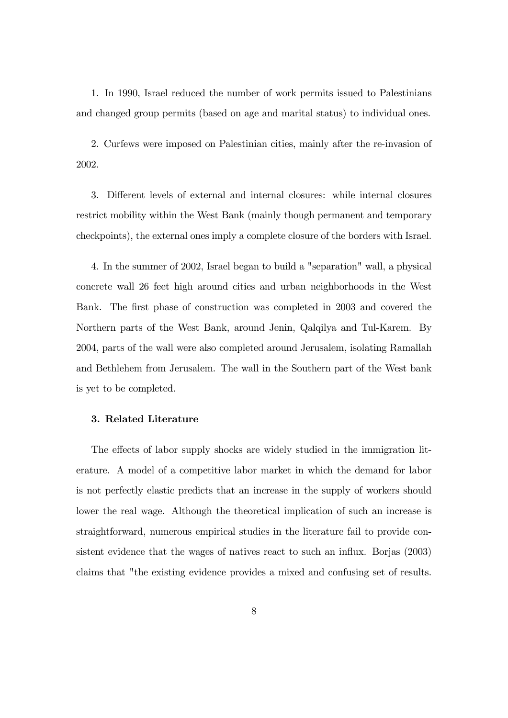1. In 1990, Israel reduced the number of work permits issued to Palestinians and changed group permits (based on age and marital status) to individual ones.

2. Curfews were imposed on Palestinian cities, mainly after the re-invasion of 2002.

3. Different levels of external and internal closures: while internal closures restrict mobility within the West Bank (mainly though permanent and temporary checkpoints), the external ones imply a complete closure of the borders with Israel.

4. In the summer of 2002, Israel began to build a "separation" wall, a physical concrete wall 26 feet high around cities and urban neighborhoods in the West Bank. The first phase of construction was completed in 2003 and covered the Northern parts of the West Bank, around Jenin, Qalqilya and Tul-Karem. By 2004, parts of the wall were also completed around Jerusalem, isolating Ramallah and Bethlehem from Jerusalem. The wall in the Southern part of the West bank is yet to be completed.

#### 3. Related Literature

The effects of labor supply shocks are widely studied in the immigration literature. A model of a competitive labor market in which the demand for labor is not perfectly elastic predicts that an increase in the supply of workers should lower the real wage. Although the theoretical implication of such an increase is straightforward, numerous empirical studies in the literature fail to provide consistent evidence that the wages of natives react to such an influx. Borjas (2003) claims that "the existing evidence provides a mixed and confusing set of results.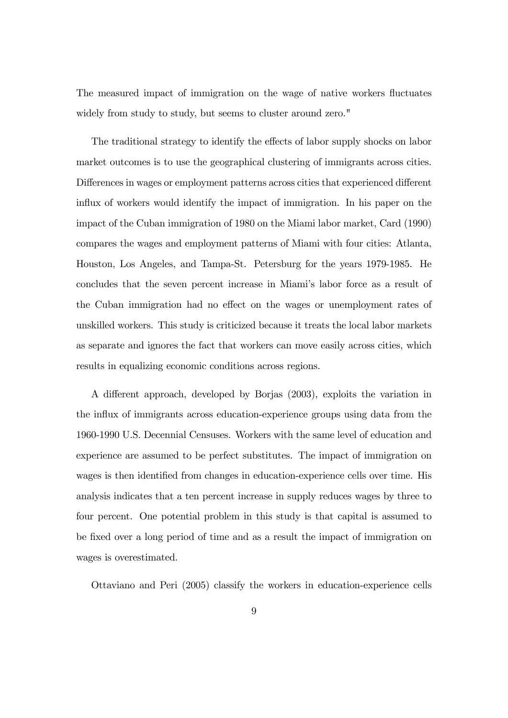The measured impact of immigration on the wage of native workers fluctuates widely from study to study, but seems to cluster around zero."

The traditional strategy to identify the effects of labor supply shocks on labor market outcomes is to use the geographical clustering of immigrants across cities. Differences in wages or employment patterns across cities that experienced different influx of workers would identify the impact of immigration. In his paper on the impact of the Cuban immigration of 1980 on the Miami labor market, Card (1990) compares the wages and employment patterns of Miami with four cities: Atlanta, Houston, Los Angeles, and Tampa-St. Petersburg for the years 1979-1985. He concludes that the seven percent increase in Miamiís labor force as a result of the Cuban immigration had no effect on the wages or unemployment rates of unskilled workers. This study is criticized because it treats the local labor markets as separate and ignores the fact that workers can move easily across cities, which results in equalizing economic conditions across regions.

A different approach, developed by Borjas (2003), exploits the variation in the influx of immigrants across education-experience groups using data from the 1960-1990 U.S. Decennial Censuses. Workers with the same level of education and experience are assumed to be perfect substitutes. The impact of immigration on wages is then identified from changes in education-experience cells over time. His analysis indicates that a ten percent increase in supply reduces wages by three to four percent. One potential problem in this study is that capital is assumed to be Öxed over a long period of time and as a result the impact of immigration on wages is overestimated.

Ottaviano and Peri (2005) classify the workers in education-experience cells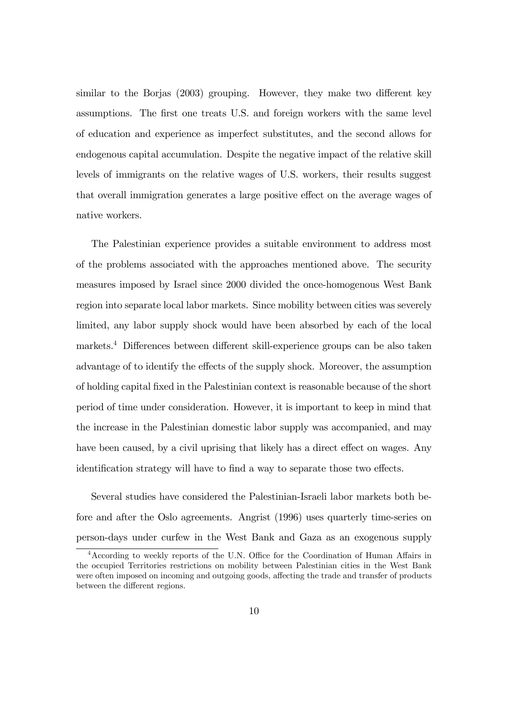similar to the Borjas  $(2003)$  grouping. However, they make two different key assumptions. The first one treats U.S. and foreign workers with the same level of education and experience as imperfect substitutes, and the second allows for endogenous capital accumulation. Despite the negative impact of the relative skill levels of immigrants on the relative wages of U.S. workers, their results suggest that overall immigration generates a large positive effect on the average wages of native workers.

The Palestinian experience provides a suitable environment to address most of the problems associated with the approaches mentioned above. The security measures imposed by Israel since 2000 divided the once-homogenous West Bank region into separate local labor markets. Since mobility between cities was severely limited, any labor supply shock would have been absorbed by each of the local markets.<sup>4</sup> Differences between different skill-experience groups can be also taken advantage of to identify the effects of the supply shock. Moreover, the assumption of holding capital Öxed in the Palestinian context is reasonable because of the short period of time under consideration. However, it is important to keep in mind that the increase in the Palestinian domestic labor supply was accompanied, and may have been caused, by a civil uprising that likely has a direct effect on wages. Any identification strategy will have to find a way to separate those two effects.

Several studies have considered the Palestinian-Israeli labor markets both before and after the Oslo agreements. Angrist (1996) uses quarterly time-series on person-days under curfew in the West Bank and Gaza as an exogenous supply

 $4$ According to weekly reports of the U.N. Office for the Coordination of Human Affairs in the occupied Territories restrictions on mobility between Palestinian cities in the West Bank were often imposed on incoming and outgoing goods, affecting the trade and transfer of products between the different regions.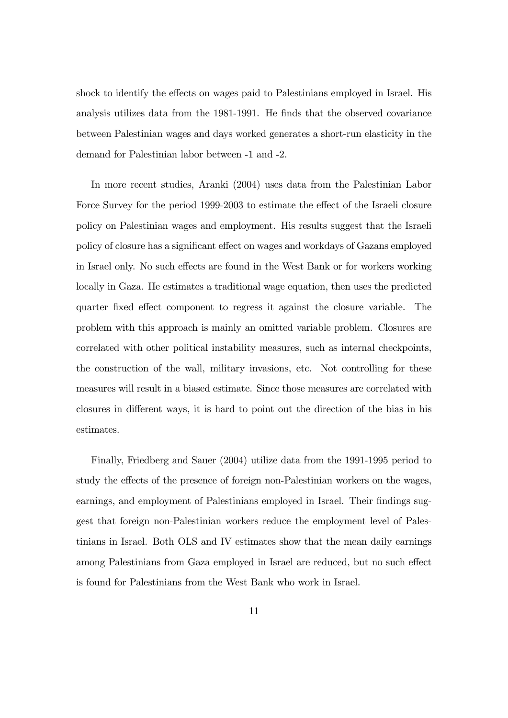shock to identify the effects on wages paid to Palestinians employed in Israel. His analysis utilizes data from the 1981-1991. He finds that the observed covariance between Palestinian wages and days worked generates a short-run elasticity in the demand for Palestinian labor between -1 and -2.

In more recent studies, Aranki (2004) uses data from the Palestinian Labor Force Survey for the period 1999-2003 to estimate the effect of the Israeli closure policy on Palestinian wages and employment. His results suggest that the Israeli policy of closure has a significant effect on wages and workdays of Gazans employed in Israel only. No such effects are found in the West Bank or for workers working locally in Gaza. He estimates a traditional wage equation, then uses the predicted quarter fixed effect component to regress it against the closure variable. The problem with this approach is mainly an omitted variable problem. Closures are correlated with other political instability measures, such as internal checkpoints, the construction of the wall, military invasions, etc. Not controlling for these measures will result in a biased estimate. Since those measures are correlated with closures in different ways, it is hard to point out the direction of the bias in his estimates.

Finally, Friedberg and Sauer (2004) utilize data from the 1991-1995 period to study the effects of the presence of foreign non-Palestinian workers on the wages, earnings, and employment of Palestinians employed in Israel. Their findings suggest that foreign non-Palestinian workers reduce the employment level of Palestinians in Israel. Both OLS and IV estimates show that the mean daily earnings among Palestinians from Gaza employed in Israel are reduced, but no such effect is found for Palestinians from the West Bank who work in Israel.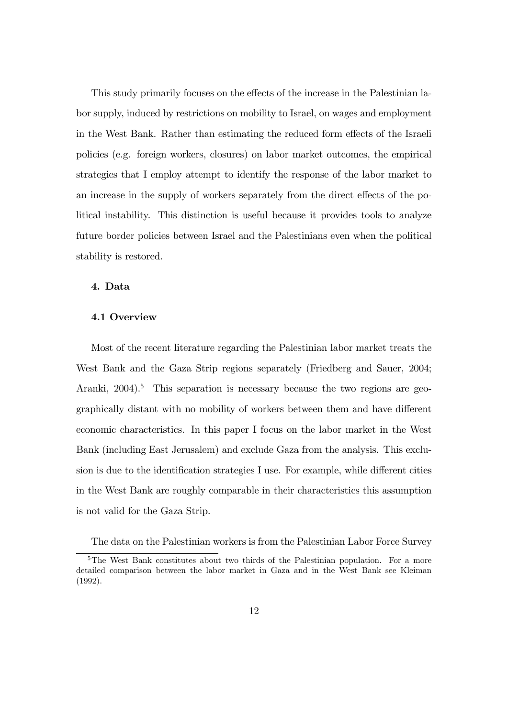This study primarily focuses on the effects of the increase in the Palestinian labor supply, induced by restrictions on mobility to Israel, on wages and employment in the West Bank. Rather than estimating the reduced form effects of the Israeli policies (e.g. foreign workers, closures) on labor market outcomes, the empirical strategies that I employ attempt to identify the response of the labor market to an increase in the supply of workers separately from the direct effects of the political instability. This distinction is useful because it provides tools to analyze future border policies between Israel and the Palestinians even when the political stability is restored.

#### 4. Data

#### 4.1 Overview

Most of the recent literature regarding the Palestinian labor market treats the West Bank and the Gaza Strip regions separately (Friedberg and Sauer, 2004; Aranki,  $2004$ <sup>5</sup>. This separation is necessary because the two regions are geographically distant with no mobility of workers between them and have different economic characteristics. In this paper I focus on the labor market in the West Bank (including East Jerusalem) and exclude Gaza from the analysis. This exclusion is due to the identification strategies I use. For example, while different cities in the West Bank are roughly comparable in their characteristics this assumption is not valid for the Gaza Strip.

The data on the Palestinian workers is from the Palestinian Labor Force Survey

<sup>&</sup>lt;sup>5</sup>The West Bank constitutes about two thirds of the Palestinian population. For a more detailed comparison between the labor market in Gaza and in the West Bank see Kleiman (1992).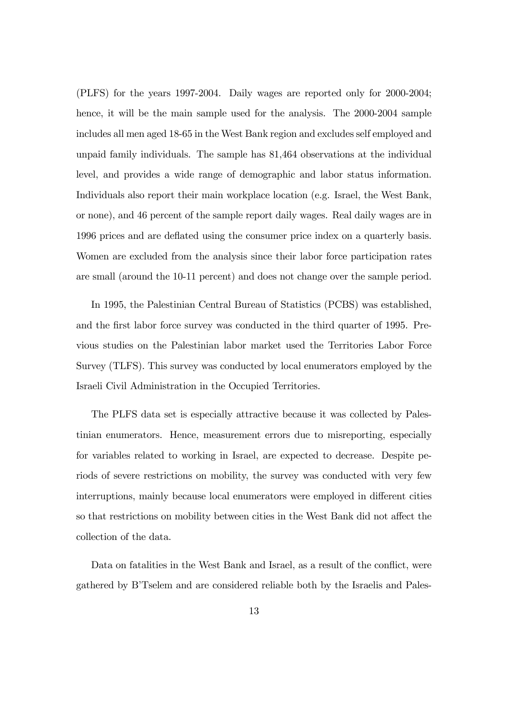(PLFS) for the years 1997-2004. Daily wages are reported only for 2000-2004; hence, it will be the main sample used for the analysis. The 2000-2004 sample includes all men aged 18-65 in the West Bank region and excludes self employed and unpaid family individuals. The sample has 81,464 observations at the individual level, and provides a wide range of demographic and labor status information. Individuals also report their main workplace location (e.g. Israel, the West Bank, or none), and 46 percent of the sample report daily wages. Real daily wages are in 1996 prices and are deáated using the consumer price index on a quarterly basis. Women are excluded from the analysis since their labor force participation rates are small (around the 10-11 percent) and does not change over the sample period.

In 1995, the Palestinian Central Bureau of Statistics (PCBS) was established, and the first labor force survey was conducted in the third quarter of 1995. Previous studies on the Palestinian labor market used the Territories Labor Force Survey (TLFS). This survey was conducted by local enumerators employed by the Israeli Civil Administration in the Occupied Territories.

The PLFS data set is especially attractive because it was collected by Palestinian enumerators. Hence, measurement errors due to misreporting, especially for variables related to working in Israel, are expected to decrease. Despite periods of severe restrictions on mobility, the survey was conducted with very few interruptions, mainly because local enumerators were employed in different cities so that restrictions on mobility between cities in the West Bank did not affect the collection of the data.

Data on fatalities in the West Bank and Israel, as a result of the conflict, were gathered by BíTselem and are considered reliable both by the Israelis and Pales-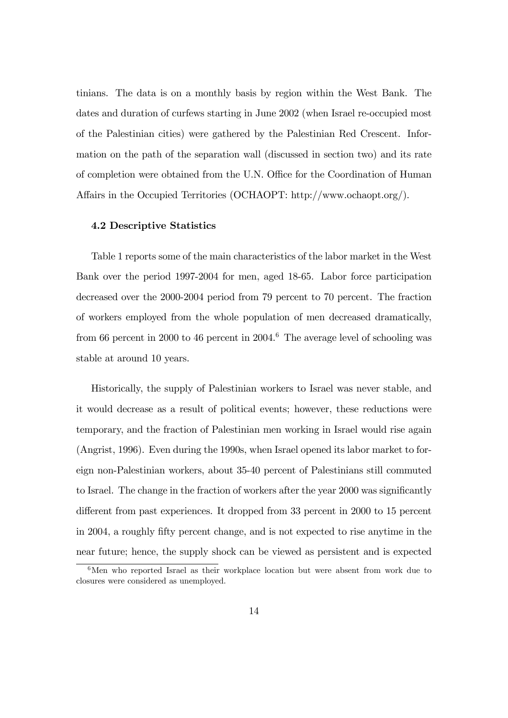tinians. The data is on a monthly basis by region within the West Bank. The dates and duration of curfews starting in June 2002 (when Israel re-occupied most of the Palestinian cities) were gathered by the Palestinian Red Crescent. Information on the path of the separation wall (discussed in section two) and its rate of completion were obtained from the U.N. Office for the Coordination of Human Affairs in the Occupied Territories (OCHAOPT: http://www.ochaopt.org/).

#### 4.2 Descriptive Statistics

Table 1 reports some of the main characteristics of the labor market in the West Bank over the period 1997-2004 for men, aged 18-65. Labor force participation decreased over the 2000-2004 period from 79 percent to 70 percent. The fraction of workers employed from the whole population of men decreased dramatically, from 66 percent in 2000 to 46 percent in 2004.<sup>6</sup> The average level of schooling was stable at around 10 years.

Historically, the supply of Palestinian workers to Israel was never stable, and it would decrease as a result of political events; however, these reductions were temporary, and the fraction of Palestinian men working in Israel would rise again (Angrist, 1996). Even during the 1990s, when Israel opened its labor market to foreign non-Palestinian workers, about 35-40 percent of Palestinians still commuted to Israel. The change in the fraction of workers after the year 2000 was significantly different from past experiences. It dropped from 33 percent in 2000 to 15 percent in 2004, a roughly Öfty percent change, and is not expected to rise anytime in the near future; hence, the supply shock can be viewed as persistent and is expected

 $6$ Men who reported Israel as their workplace location but were absent from work due to closures were considered as unemployed.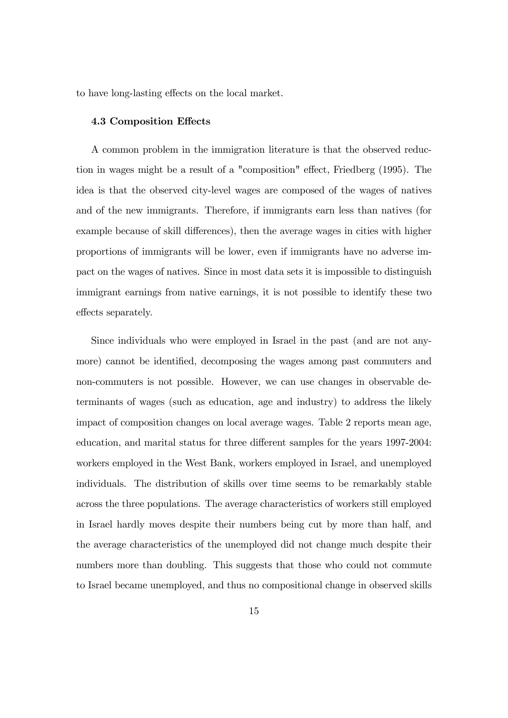to have long-lasting effects on the local market.

#### 4.3 Composition Effects

A common problem in the immigration literature is that the observed reduction in wages might be a result of a "composition" effect, Friedberg  $(1995)$ . The idea is that the observed city-level wages are composed of the wages of natives and of the new immigrants. Therefore, if immigrants earn less than natives (for example because of skill differences), then the average wages in cities with higher proportions of immigrants will be lower, even if immigrants have no adverse impact on the wages of natives. Since in most data sets it is impossible to distinguish immigrant earnings from native earnings, it is not possible to identify these two effects separately.

Since individuals who were employed in Israel in the past (and are not anymore) cannot be identified, decomposing the wages among past commuters and non-commuters is not possible. However, we can use changes in observable determinants of wages (such as education, age and industry) to address the likely impact of composition changes on local average wages. Table 2 reports mean age, education, and marital status for three different samples for the years 1997-2004: workers employed in the West Bank, workers employed in Israel, and unemployed individuals. The distribution of skills over time seems to be remarkably stable across the three populations. The average characteristics of workers still employed in Israel hardly moves despite their numbers being cut by more than half, and the average characteristics of the unemployed did not change much despite their numbers more than doubling. This suggests that those who could not commute to Israel became unemployed, and thus no compositional change in observed skills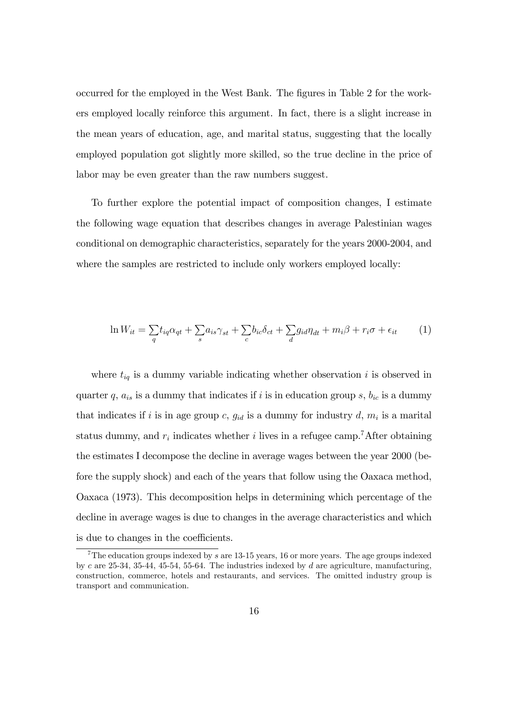occurred for the employed in the West Bank. The figures in Table 2 for the workers employed locally reinforce this argument. In fact, there is a slight increase in the mean years of education, age, and marital status, suggesting that the locally employed population got slightly more skilled, so the true decline in the price of labor may be even greater than the raw numbers suggest.

To further explore the potential impact of composition changes, I estimate the following wage equation that describes changes in average Palestinian wages conditional on demographic characteristics, separately for the years 2000-2004, and where the samples are restricted to include only workers employed locally:

$$
\ln W_{it} = \sum_{q} t_{iq} \alpha_{qt} + \sum_{s} a_{is} \gamma_{st} + \sum_{c} b_{ic} \delta_{ct} + \sum_{d} g_{id} \eta_{dt} + m_i \beta + r_i \sigma + \epsilon_{it} \tag{1}
$$

where  $t_{iq}$  is a dummy variable indicating whether observation i is observed in quarter q,  $a_{is}$  is a dummy that indicates if i is in education group s,  $b_{ic}$  is a dummy that indicates if i is in age group c,  $g_{id}$  is a dummy for industry d,  $m_i$  is a marital status dummy, and  $r_i$  indicates whether i lives in a refugee camp.<sup>7</sup>After obtaining the estimates I decompose the decline in average wages between the year 2000 (before the supply shock) and each of the years that follow using the Oaxaca method, Oaxaca (1973). This decomposition helps in determining which percentage of the decline in average wages is due to changes in the average characteristics and which is due to changes in the coefficients.

<sup>&</sup>lt;sup>7</sup>The education groups indexed by s are 13-15 years, 16 or more years. The age groups indexed by c are 25-34, 35-44, 45-54, 55-64. The industries indexed by d are agriculture, manufacturing, construction, commerce, hotels and restaurants, and services. The omitted industry group is transport and communication.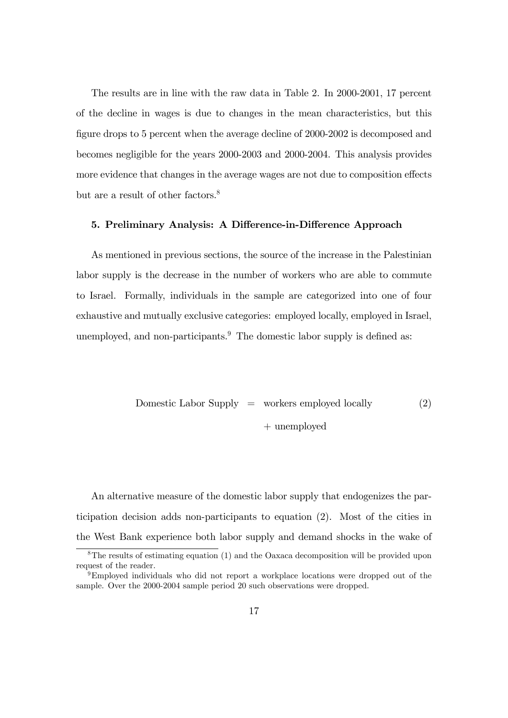The results are in line with the raw data in Table 2. In 2000-2001, 17 percent of the decline in wages is due to changes in the mean characteristics, but this figure drops to 5 percent when the average decline of 2000-2002 is decomposed and becomes negligible for the years 2000-2003 and 2000-2004. This analysis provides more evidence that changes in the average wages are not due to composition effects but are a result of other factors.<sup>8</sup>

#### 5. Preliminary Analysis: A Difference-in-Difference Approach

As mentioned in previous sections, the source of the increase in the Palestinian labor supply is the decrease in the number of workers who are able to commute to Israel. Formally, individuals in the sample are categorized into one of four exhaustive and mutually exclusive categories: employed locally, employed in Israel, unemployed, and non-participants. $9$  The domestic labor supply is defined as:

Domestic Labor Supply = workers employed locally  
 
$$
+ \text{unemployed}
$$
 (2)

An alternative measure of the domestic labor supply that endogenizes the participation decision adds non-participants to equation (2). Most of the cities in the West Bank experience both labor supply and demand shocks in the wake of

<sup>8</sup>The results of estimating equation (1) and the Oaxaca decomposition will be provided upon request of the reader.

<sup>9</sup>Employed individuals who did not report a workplace locations were dropped out of the sample. Over the 2000-2004 sample period 20 such observations were dropped.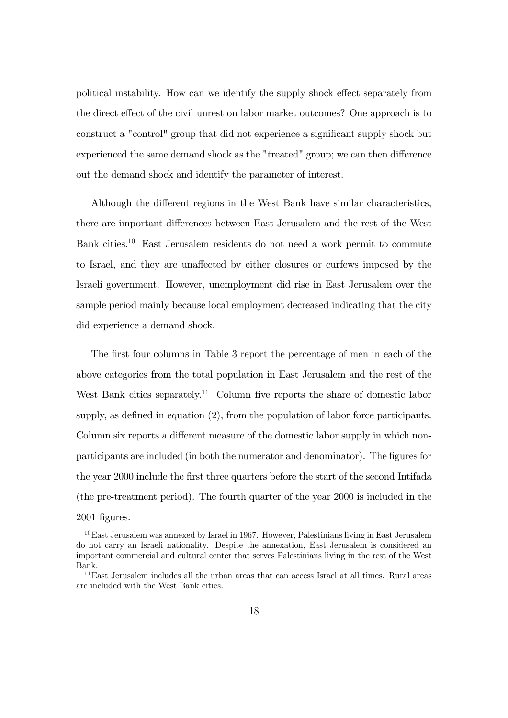political instability. How can we identify the supply shock effect separately from the direct effect of the civil unrest on labor market outcomes? One approach is to construct a "control" group that did not experience a significant supply shock but experienced the same demand shock as the "treated" group; we can then difference out the demand shock and identify the parameter of interest.

Although the different regions in the West Bank have similar characteristics, there are important differences between East Jerusalem and the rest of the West Bank cities.<sup>10</sup> East Jerusalem residents do not need a work permit to commute to Israel, and they are unaffected by either closures or curfews imposed by the Israeli government. However, unemployment did rise in East Jerusalem over the sample period mainly because local employment decreased indicating that the city did experience a demand shock.

The first four columns in Table 3 report the percentage of men in each of the above categories from the total population in East Jerusalem and the rest of the West Bank cities separately.<sup>11</sup> Column five reports the share of domestic labor supply, as defined in equation  $(2)$ , from the population of labor force participants. Column six reports a different measure of the domestic labor supply in which nonparticipants are included (in both the numerator and denominator). The figures for the year 2000 include the Örst three quarters before the start of the second Intifada (the pre-treatment period). The fourth quarter of the year 2000 is included in the 2001 Ögures.

<sup>10</sup>East Jerusalem was annexed by Israel in 1967. However, Palestinians living in East Jerusalem do not carry an Israeli nationality. Despite the annexation, East Jerusalem is considered an important commercial and cultural center that serves Palestinians living in the rest of the West Bank.

 $11$ East Jerusalem includes all the urban areas that can access Israel at all times. Rural areas are included with the West Bank cities.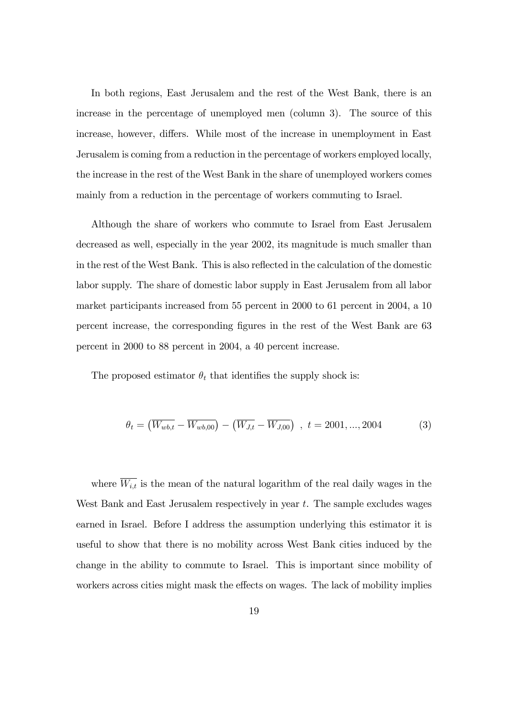In both regions, East Jerusalem and the rest of the West Bank, there is an increase in the percentage of unemployed men (column 3). The source of this increase, however, differs. While most of the increase in unemployment in East Jerusalem is coming from a reduction in the percentage of workers employed locally, the increase in the rest of the West Bank in the share of unemployed workers comes mainly from a reduction in the percentage of workers commuting to Israel.

Although the share of workers who commute to Israel from East Jerusalem decreased as well, especially in the year 2002, its magnitude is much smaller than in the rest of the West Bank. This is also reflected in the calculation of the domestic labor supply. The share of domestic labor supply in East Jerusalem from all labor market participants increased from 55 percent in 2000 to 61 percent in 2004, a 10 percent increase, the corresponding Ögures in the rest of the West Bank are 63 percent in 2000 to 88 percent in 2004, a 40 percent increase.

The proposed estimator  $\theta_t$  that identifies the supply shock is:

$$
\theta_t = \left(\overline{W_{wb,t}} - \overline{W_{wb,00}}\right) - \left(\overline{W_{J,t}} - \overline{W_{J,00}}\right) , t = 2001, ..., 2004
$$
 (3)

where  $\overline{W_{i,t}}$  is the mean of the natural logarithm of the real daily wages in the West Bank and East Jerusalem respectively in year t. The sample excludes wages earned in Israel. Before I address the assumption underlying this estimator it is useful to show that there is no mobility across West Bank cities induced by the change in the ability to commute to Israel. This is important since mobility of workers across cities might mask the effects on wages. The lack of mobility implies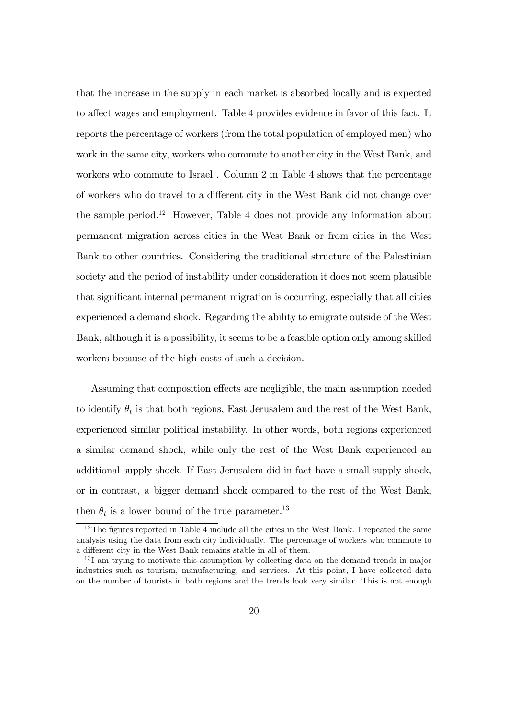that the increase in the supply in each market is absorbed locally and is expected to affect wages and employment. Table 4 provides evidence in favor of this fact. It reports the percentage of workers (from the total population of employed men) who work in the same city, workers who commute to another city in the West Bank, and workers who commute to Israel . Column 2 in Table 4 shows that the percentage of workers who do travel to a different city in the West Bank did not change over the sample period.<sup>12</sup> However, Table 4 does not provide any information about permanent migration across cities in the West Bank or from cities in the West Bank to other countries. Considering the traditional structure of the Palestinian society and the period of instability under consideration it does not seem plausible that significant internal permanent migration is occurring, especially that all cities experienced a demand shock. Regarding the ability to emigrate outside of the West Bank, although it is a possibility, it seems to be a feasible option only among skilled workers because of the high costs of such a decision.

Assuming that composition effects are negligible, the main assumption needed to identify  $\theta_t$  is that both regions, East Jerusalem and the rest of the West Bank, experienced similar political instability. In other words, both regions experienced a similar demand shock, while only the rest of the West Bank experienced an additional supply shock. If East Jerusalem did in fact have a small supply shock, or in contrast, a bigger demand shock compared to the rest of the West Bank, then  $\theta_t$  is a lower bound of the true parameter.<sup>13</sup>

 $12$ The figures reported in Table 4 include all the cities in the West Bank. I repeated the same analysis using the data from each city individually. The percentage of workers who commute to a different city in the West Bank remains stable in all of them.

<sup>&</sup>lt;sup>13</sup>I am trying to motivate this assumption by collecting data on the demand trends in major industries such as tourism, manufacturing, and services. At this point, I have collected data on the number of tourists in both regions and the trends look very similar. This is not enough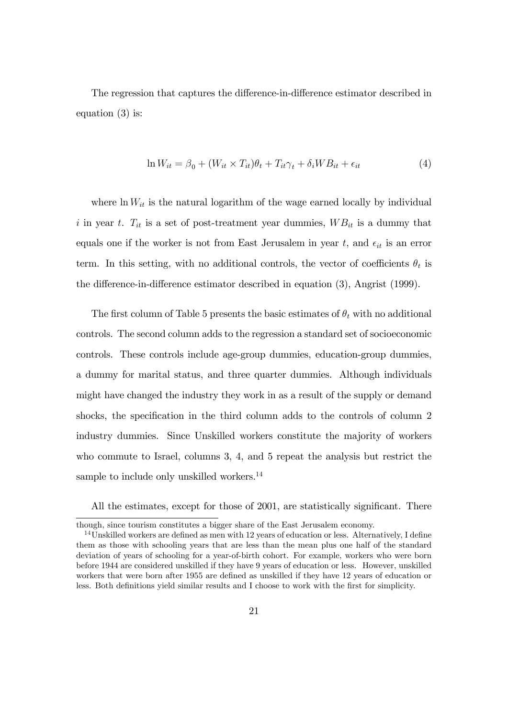The regression that captures the difference-in-difference estimator described in equation (3) is:

$$
\ln W_{it} = \beta_0 + (W_{it} \times T_{it})\theta_t + T_{it}\gamma_t + \delta_i WB_{it} + \epsilon_{it}
$$
\n(4)

where  $\ln W_{it}$  is the natural logarithm of the wage earned locally by individual i in year t.  $T_{it}$  is a set of post-treatment year dummies,  $WB_{it}$  is a dummy that equals one if the worker is not from East Jerusalem in year t, and  $\epsilon_{it}$  is an error term. In this setting, with no additional controls, the vector of coefficients  $\theta_t$  is the difference-in-difference estimator described in equation  $(3)$ , Angrist  $(1999)$ .

The first column of Table 5 presents the basic estimates of  $\theta_t$  with no additional controls. The second column adds to the regression a standard set of socioeconomic controls. These controls include age-group dummies, education-group dummies, a dummy for marital status, and three quarter dummies. Although individuals might have changed the industry they work in as a result of the supply or demand shocks, the specification in the third column adds to the controls of column 2 industry dummies. Since Unskilled workers constitute the majority of workers who commute to Israel, columns 3, 4, and 5 repeat the analysis but restrict the sample to include only unskilled workers.<sup>14</sup>

All the estimates, except for those of 2001, are statistically significant. There

though, since tourism constitutes a bigger share of the East Jerusalem economy.

 $14$ Unskilled workers are defined as men with 12 years of education or less. Alternatively, I define them as those with schooling years that are less than the mean plus one half of the standard deviation of years of schooling for a year-of-birth cohort. For example, workers who were born before 1944 are considered unskilled if they have 9 years of education or less. However, unskilled workers that were born after 1955 are defined as unskilled if they have 12 years of education or less. Both definitions yield similar results and I choose to work with the first for simplicity.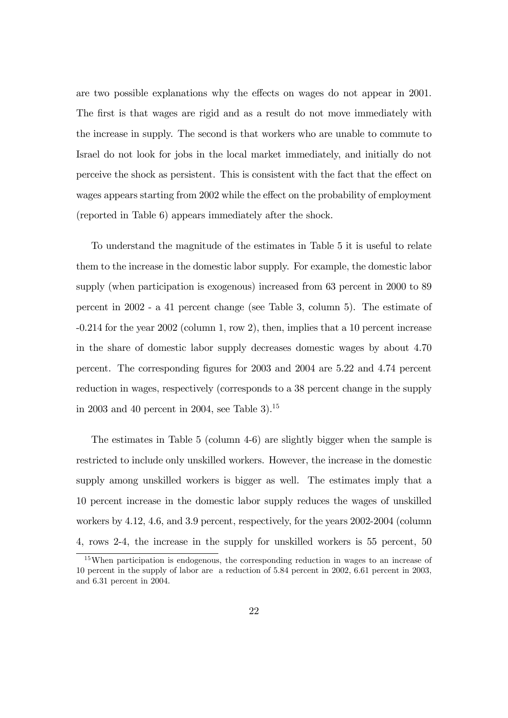are two possible explanations why the effects on wages do not appear in 2001. The first is that wages are rigid and as a result do not move immediately with the increase in supply. The second is that workers who are unable to commute to Israel do not look for jobs in the local market immediately, and initially do not perceive the shock as persistent. This is consistent with the fact that the effect on wages appears starting from 2002 while the effect on the probability of employment (reported in Table 6) appears immediately after the shock.

To understand the magnitude of the estimates in Table 5 it is useful to relate them to the increase in the domestic labor supply. For example, the domestic labor supply (when participation is exogenous) increased from 63 percent in 2000 to 89 percent in 2002 - a 41 percent change (see Table 3, column 5). The estimate of -0.214 for the year 2002 (column 1, row 2), then, implies that a 10 percent increase in the share of domestic labor supply decreases domestic wages by about 4.70 percent. The corresponding Ögures for 2003 and 2004 are 5.22 and 4.74 percent reduction in wages, respectively (corresponds to a 38 percent change in the supply in 2003 and 40 percent in 2004, see Table 3).<sup>15</sup>

The estimates in Table 5 (column 4-6) are slightly bigger when the sample is restricted to include only unskilled workers. However, the increase in the domestic supply among unskilled workers is bigger as well. The estimates imply that a 10 percent increase in the domestic labor supply reduces the wages of unskilled workers by 4.12, 4.6, and 3.9 percent, respectively, for the years 2002-2004 (column 4, rows 2-4, the increase in the supply for unskilled workers is 55 percent, 50

<sup>15</sup>When participation is endogenous, the corresponding reduction in wages to an increase of 10 percent in the supply of labor are a reduction of 5.84 percent in 2002, 6.61 percent in 2003, and 6.31 percent in 2004.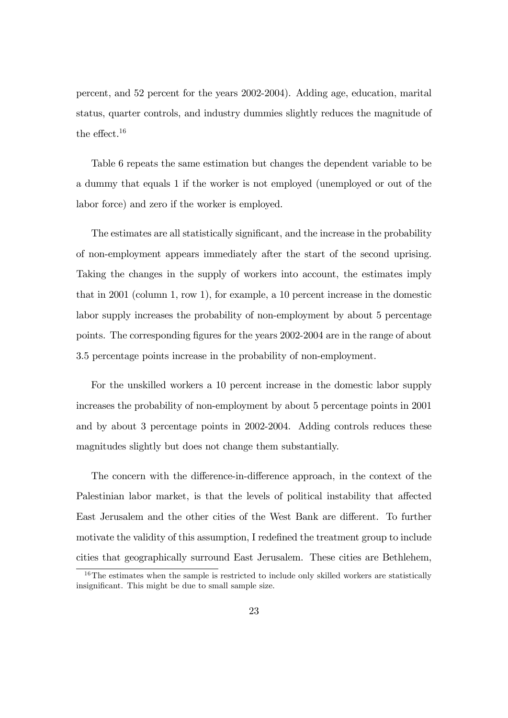percent, and 52 percent for the years 2002-2004). Adding age, education, marital status, quarter controls, and industry dummies slightly reduces the magnitude of the effect.<sup>16</sup>

Table 6 repeats the same estimation but changes the dependent variable to be a dummy that equals 1 if the worker is not employed (unemployed or out of the labor force) and zero if the worker is employed.

The estimates are all statistically significant, and the increase in the probability of non-employment appears immediately after the start of the second uprising. Taking the changes in the supply of workers into account, the estimates imply that in 2001 (column 1, row 1), for example, a 10 percent increase in the domestic labor supply increases the probability of non-employment by about 5 percentage points. The corresponding Ögures for the years 2002-2004 are in the range of about 3.5 percentage points increase in the probability of non-employment.

For the unskilled workers a 10 percent increase in the domestic labor supply increases the probability of non-employment by about 5 percentage points in 2001 and by about 3 percentage points in 2002-2004. Adding controls reduces these magnitudes slightly but does not change them substantially.

The concern with the difference-in-difference approach, in the context of the Palestinian labor market, is that the levels of political instability that affected East Jerusalem and the other cities of the West Bank are different. To further motivate the validity of this assumption. I redefined the treatment group to include cities that geographically surround East Jerusalem. These cities are Bethlehem,

 $16$ The estimates when the sample is restricted to include only skilled workers are statistically insignificant. This might be due to small sample size.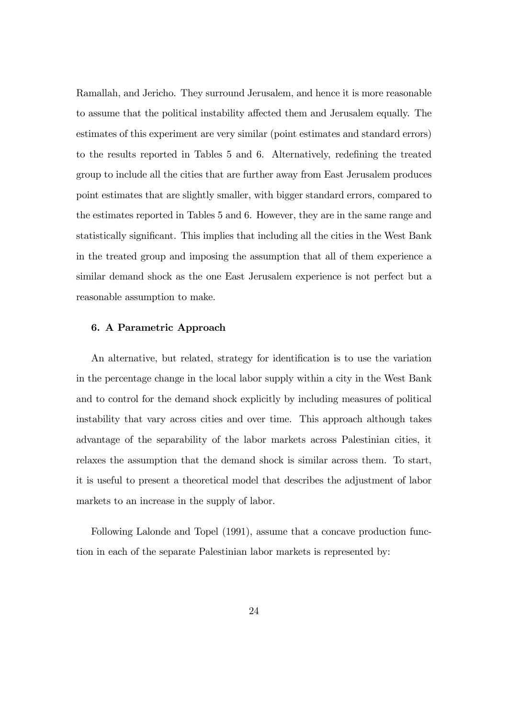Ramallah, and Jericho. They surround Jerusalem, and hence it is more reasonable to assume that the political instability affected them and Jerusalem equally. The estimates of this experiment are very similar (point estimates and standard errors) to the results reported in Tables 5 and 6. Alternatively, redefining the treated group to include all the cities that are further away from East Jerusalem produces point estimates that are slightly smaller, with bigger standard errors, compared to the estimates reported in Tables 5 and 6. However, they are in the same range and statistically significant. This implies that including all the cities in the West Bank in the treated group and imposing the assumption that all of them experience a similar demand shock as the one East Jerusalem experience is not perfect but a reasonable assumption to make.

#### 6. A Parametric Approach

An alternative, but related, strategy for identification is to use the variation in the percentage change in the local labor supply within a city in the West Bank and to control for the demand shock explicitly by including measures of political instability that vary across cities and over time. This approach although takes advantage of the separability of the labor markets across Palestinian cities, it relaxes the assumption that the demand shock is similar across them. To start, it is useful to present a theoretical model that describes the adjustment of labor markets to an increase in the supply of labor.

Following Lalonde and Topel (1991), assume that a concave production function in each of the separate Palestinian labor markets is represented by: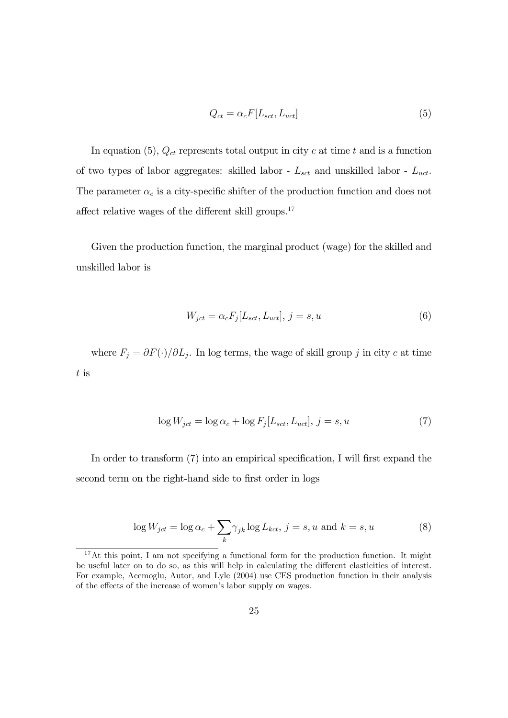$$
Q_{ct} = \alpha_c F[L_{sct}, L_{uct}] \tag{5}
$$

In equation (5),  $Q_{ct}$  represents total output in city c at time t and is a function of two types of labor aggregates: skilled labor -  $L_{sct}$  and unskilled labor -  $L_{uct}$ . The parameter  $\alpha_c$  is a city-specific shifter of the production function and does not affect relative wages of the different skill groups.<sup>17</sup>

Given the production function, the marginal product (wage) for the skilled and unskilled labor is

$$
W_{jet} = \alpha_c F_j [L_{set}, L_{uct}], j = s, u \tag{6}
$$

where  $F_j = \partial F(\cdot) / \partial L_j$ . In log terms, the wage of skill group j in city c at time t is

$$
\log W_{jet} = \log \alpha_c + \log F_j[L_{sct}, L_{uct}], j = s, u \tag{7}
$$

In order to transform  $(7)$  into an empirical specification, I will first expand the second term on the right-hand side to first order in logs

$$
\log W_{jet} = \log \alpha_c + \sum_{k} \gamma_{jk} \log L_{kct}, \, j = s, u \text{ and } k = s, u \tag{8}
$$

<sup>&</sup>lt;sup>17</sup>At this point, I am not specifying a functional form for the production function. It might be useful later on to do so, as this will help in calculating the different elasticities of interest. For example, Acemoglu, Autor, and Lyle (2004) use CES production function in their analysis of the effects of the increase of women's labor supply on wages.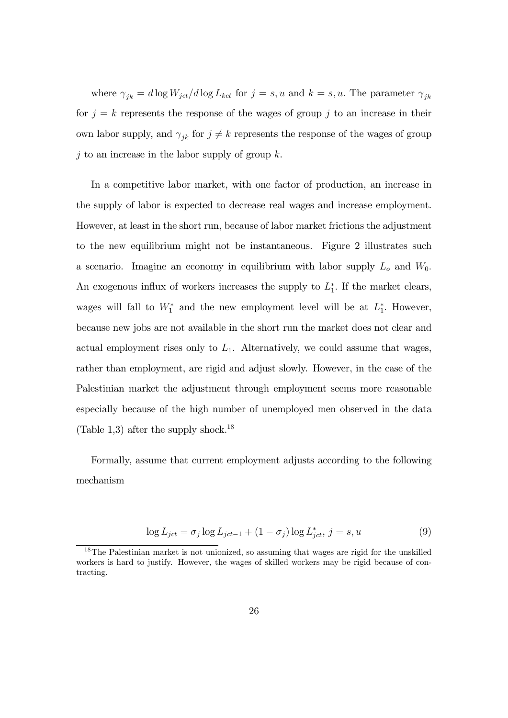where  $\gamma_{jk} = d \log W_{jet}/d \log L_{kct}$  for  $j = s, u$  and  $k = s, u$ . The parameter  $\gamma_{jk}$ for  $j = k$  represents the response of the wages of group j to an increase in their own labor supply, and  $\gamma_{jk}$  for  $j \neq k$  represents the response of the wages of group j to an increase in the labor supply of group  $k$ .

In a competitive labor market, with one factor of production, an increase in the supply of labor is expected to decrease real wages and increase employment. However, at least in the short run, because of labor market frictions the adjustment to the new equilibrium might not be instantaneous. Figure 2 illustrates such a scenario. Imagine an economy in equilibrium with labor supply  $L<sub>o</sub>$  and  $W<sub>0</sub>$ . An exogenous influx of workers increases the supply to  $L_1^*$ . If the market clears, wages will fall to  $W_1^*$  and the new employment level will be at  $L_1^*$ . However, because new jobs are not available in the short run the market does not clear and actual employment rises only to  $L_1$ . Alternatively, we could assume that wages, rather than employment, are rigid and adjust slowly. However, in the case of the Palestinian market the adjustment through employment seems more reasonable especially because of the high number of unemployed men observed in the data (Table 1,3) after the supply shock.<sup>18</sup>

Formally, assume that current employment adjusts according to the following mechanism

$$
\log L_{jet} = \sigma_j \log L_{jet-1} + (1 - \sigma_j) \log L_{jet}^*, j = s, u \tag{9}
$$

<sup>18</sup>The Palestinian market is not unionized, so assuming that wages are rigid for the unskilled workers is hard to justify. However, the wages of skilled workers may be rigid because of contracting.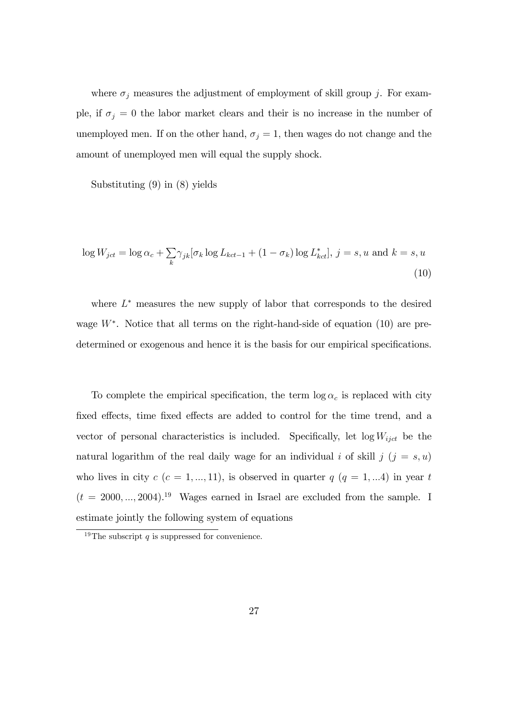where  $\sigma_j$  measures the adjustment of employment of skill group j. For example, if  $\sigma_j = 0$  the labor market clears and their is no increase in the number of unemployed men. If on the other hand,  $\sigma_j = 1$ , then wages do not change and the amount of unemployed men will equal the supply shock.

Substituting (9) in (8) yields

$$
\log W_{jet} = \log \alpha_c + \sum_{k} \gamma_{jk} [\sigma_k \log L_{kct-1} + (1 - \sigma_k) \log L_{kct}^*], j = s, u \text{ and } k = s, u
$$
\n(10)

where  $L^*$  measures the new supply of labor that corresponds to the desired wage  $W^*$ . Notice that all terms on the right-hand-side of equation  $(10)$  are predetermined or exogenous and hence it is the basis for our empirical specifications.

To complete the empirical specification, the term  $\log \alpha_c$  is replaced with city fixed effects, time fixed effects are added to control for the time trend, and a vector of personal characteristics is included. Specifically, let  $log W_{ijct}$  be the natural logarithm of the real daily wage for an individual i of skill j  $(j = s, u)$ who lives in city  $c$   $(c = 1, ..., 11)$ , is observed in quarter  $q$   $(q = 1, ...4)$  in year t  $(t = 2000, \ldots, 2004).$ <sup>19</sup> Wages earned in Israel are excluded from the sample. I estimate jointly the following system of equations

<sup>&</sup>lt;sup>19</sup>The subscript q is suppressed for convenience.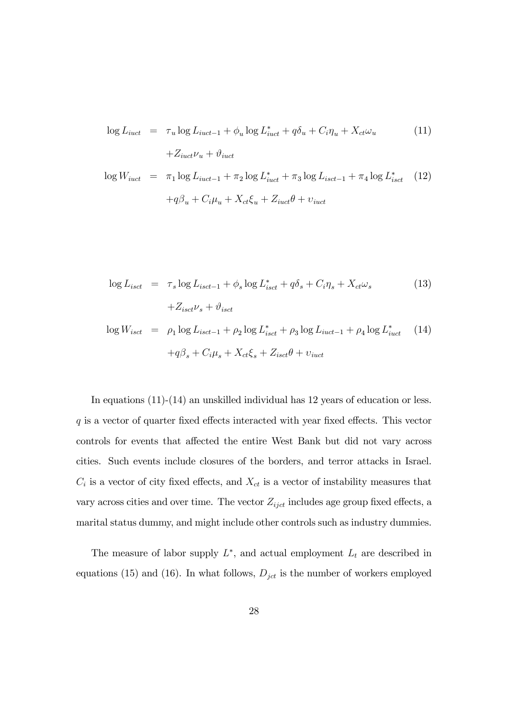$$
\log L_{iuct} = \tau_u \log L_{iuct-1} + \phi_u \log L_{iuct}^* + q\delta_u + C_i \eta_u + X_{ct} \omega_u \tag{11}
$$

$$
+ Z_{iuct} \nu_u + \vartheta_{iuct}
$$

$$
\log W_{iuct} = \pi_1 \log L_{iuct-1} + \pi_2 \log L_{iuct}^* + \pi_3 \log L_{isect-1} + \pi_4 \log L_{isect}^* \quad (12)
$$

$$
+q\beta_u + C_i\mu_u + X_{ct}\xi_u + Z_{iuct}\theta + v_{iuct}
$$

$$
\log L_{isct} = \tau_s \log L_{isct-1} + \phi_s \log L_{isct}^* + q\delta_s + C_i \eta_s + X_{ct}\omega_s
$$
\n
$$
+ Z_{isct}\nu_s + \vartheta_{isct}
$$
\n(13)

$$
\log W_{isct} = \rho_1 \log L_{isct-1} + \rho_2 \log L_{isct}^* + \rho_3 \log L_{iuct-1} + \rho_4 \log L_{iuct}^* \quad (14)
$$

$$
+ q\beta_s + C_i\mu_s + X_{ct}\xi_s + Z_{isct}\theta + v_{iuct}
$$

In equations (11)-(14) an unskilled individual has 12 years of education or less.  $q$  is a vector of quarter fixed effects interacted with year fixed effects. This vector controls for events that affected the entire West Bank but did not vary across cities. Such events include closures of the borders, and terror attacks in Israel.  $C_i$  is a vector of city fixed effects, and  $X_{ct}$  is a vector of instability measures that vary across cities and over time. The vector  $Z_{ijct}$  includes age group fixed effects, a marital status dummy, and might include other controls such as industry dummies.

The measure of labor supply  $L^*$ , and actual employment  $L_t$  are described in equations (15) and (16). In what follows,  $D_{jet}$  is the number of workers employed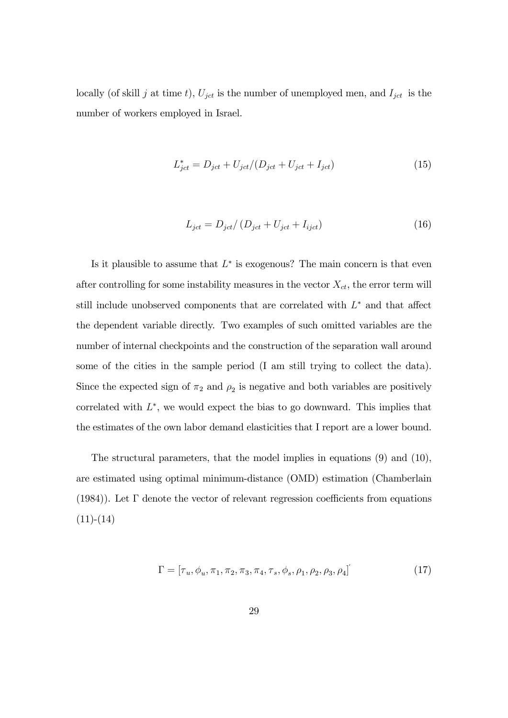locally (of skill j at time t),  $U_{jet}$  is the number of unemployed men, and  $I_{jet}$  is the number of workers employed in Israel.

$$
L_{jct}^{*} = D_{jct} + U_{jct}/(D_{jct} + U_{jct} + I_{jct})
$$
\n(15)

$$
L_{jet} = D_{jet} / \left( D_{jet} + U_{jet} + I_{ijct} \right) \tag{16}
$$

Is it plausible to assume that  $L^*$  is exogenous? The main concern is that even after controlling for some instability measures in the vector  $X_{ct}$ , the error term will still include unobserved components that are correlated with  $L^*$  and that affect the dependent variable directly. Two examples of such omitted variables are the number of internal checkpoints and the construction of the separation wall around some of the cities in the sample period (I am still trying to collect the data). Since the expected sign of  $\pi_2$  and  $\rho_2$  is negative and both variables are positively correlated with  $L^*$ , we would expect the bias to go downward. This implies that the estimates of the own labor demand elasticities that I report are a lower bound.

The structural parameters, that the model implies in equations (9) and (10), are estimated using optimal minimum-distance (OMD) estimation (Chamberlain (1984)). Let  $\Gamma$  denote the vector of relevant regression coefficients from equations  $(11)-(14)$ 

$$
\Gamma = [\tau_u, \phi_u, \pi_1, \pi_2, \pi_3, \pi_4, \tau_s, \phi_s, \rho_1, \rho_2, \rho_3, \rho_4]'
$$
(17)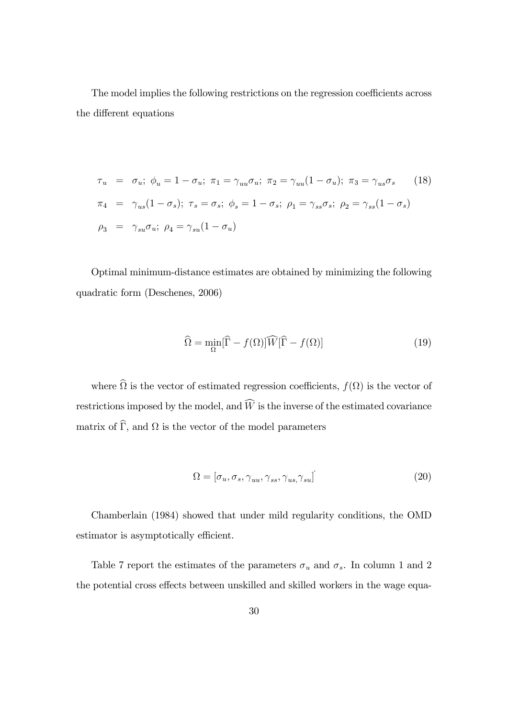The model implies the following restrictions on the regression coefficients across the different equations

$$
\tau_u = \sigma_u; \ \phi_u = 1 - \sigma_u; \ \pi_1 = \gamma_{uu}\sigma_u; \ \pi_2 = \gamma_{uu}(1 - \sigma_u); \ \pi_3 = \gamma_{us}\sigma_s \tag{18}
$$
\n
$$
\pi_4 = \gamma_{us}(1 - \sigma_s); \ \tau_s = \sigma_s; \ \phi_s = 1 - \sigma_s; \ \rho_1 = \gamma_{ss}\sigma_s; \ \rho_2 = \gamma_{ss}(1 - \sigma_s)
$$
\n
$$
\rho_3 = \gamma_{su}\sigma_u; \ \rho_4 = \gamma_{su}(1 - \sigma_u)
$$

Optimal minimum-distance estimates are obtained by minimizing the following quadratic form (Deschenes, 2006)

$$
\widehat{\Omega} = \min_{\Omega} [\widehat{\Gamma} - f(\Omega)] \widehat{W} [\widehat{\Gamma} - f(\Omega)] \tag{19}
$$

where  $\Omega$  is the vector of estimated regression coefficients,  $f(\Omega)$  is the vector of restrictions imposed by the model, and  $\widehat{W}$  is the inverse of the estimated covariance matrix of  $\Gamma$ , and  $\Omega$  is the vector of the model parameters

$$
\Omega = [\sigma_u, \sigma_s, \gamma_{uu}, \gamma_{ss}, \gamma_{us}, \gamma_{su}] \tag{20}
$$

Chamberlain (1984) showed that under mild regularity conditions, the OMD estimator is asymptotically efficient.

Table 7 report the estimates of the parameters  $\sigma_u$  and  $\sigma_s$ . In column 1 and 2 the potential cross effects between unskilled and skilled workers in the wage equa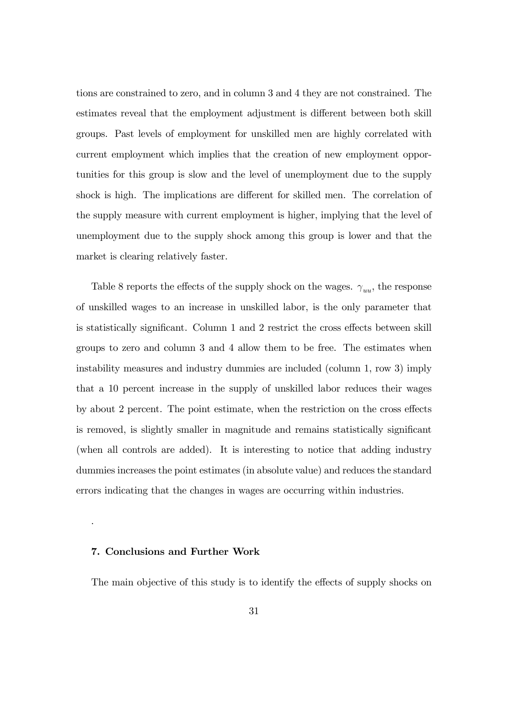tions are constrained to zero, and in column 3 and 4 they are not constrained. The estimates reveal that the employment adjustment is different between both skill groups. Past levels of employment for unskilled men are highly correlated with current employment which implies that the creation of new employment opportunities for this group is slow and the level of unemployment due to the supply shock is high. The implications are different for skilled men. The correlation of the supply measure with current employment is higher, implying that the level of unemployment due to the supply shock among this group is lower and that the market is clearing relatively faster.

Table 8 reports the effects of the supply shock on the wages.  $\gamma_{uu}$ , the response of unskilled wages to an increase in unskilled labor, is the only parameter that is statistically significant. Column 1 and 2 restrict the cross effects between skill groups to zero and column 3 and 4 allow them to be free. The estimates when instability measures and industry dummies are included (column 1, row 3) imply that a 10 percent increase in the supply of unskilled labor reduces their wages by about 2 percent. The point estimate, when the restriction on the cross effects is removed, is slightly smaller in magnitude and remains statistically significant (when all controls are added). It is interesting to notice that adding industry dummies increases the point estimates (in absolute value) and reduces the standard errors indicating that the changes in wages are occurring within industries.

#### 7. Conclusions and Further Work

.

The main objective of this study is to identify the effects of supply shocks on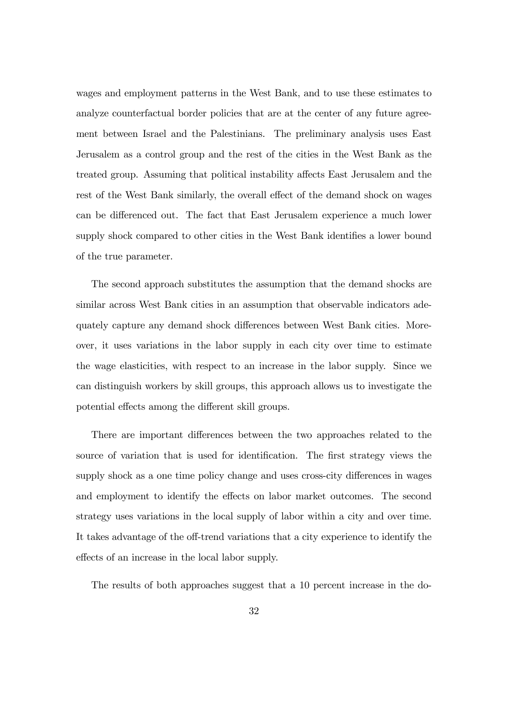wages and employment patterns in the West Bank, and to use these estimates to analyze counterfactual border policies that are at the center of any future agreement between Israel and the Palestinians. The preliminary analysis uses East Jerusalem as a control group and the rest of the cities in the West Bank as the treated group. Assuming that political instability affects East Jerusalem and the rest of the West Bank similarly, the overall effect of the demand shock on wages can be differenced out. The fact that East Jerusalem experience a much lower supply shock compared to other cities in the West Bank identifies a lower bound of the true parameter.

The second approach substitutes the assumption that the demand shocks are similar across West Bank cities in an assumption that observable indicators adequately capture any demand shock differences between West Bank cities. Moreover, it uses variations in the labor supply in each city over time to estimate the wage elasticities, with respect to an increase in the labor supply. Since we can distinguish workers by skill groups, this approach allows us to investigate the potential effects among the different skill groups.

There are important differences between the two approaches related to the source of variation that is used for identification. The first strategy views the supply shock as a one time policy change and uses cross-city differences in wages and employment to identify the effects on labor market outcomes. The second strategy uses variations in the local supply of labor within a city and over time. It takes advantage of the off-trend variations that a city experience to identify the effects of an increase in the local labor supply.

The results of both approaches suggest that a 10 percent increase in the do-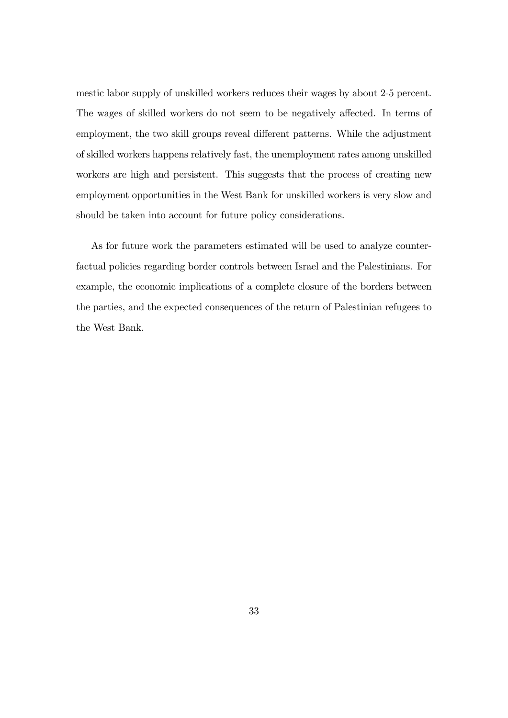mestic labor supply of unskilled workers reduces their wages by about 2-5 percent. The wages of skilled workers do not seem to be negatively affected. In terms of employment, the two skill groups reveal different patterns. While the adjustment of skilled workers happens relatively fast, the unemployment rates among unskilled workers are high and persistent. This suggests that the process of creating new employment opportunities in the West Bank for unskilled workers is very slow and should be taken into account for future policy considerations.

As for future work the parameters estimated will be used to analyze counterfactual policies regarding border controls between Israel and the Palestinians. For example, the economic implications of a complete closure of the borders between the parties, and the expected consequences of the return of Palestinian refugees to the West Bank.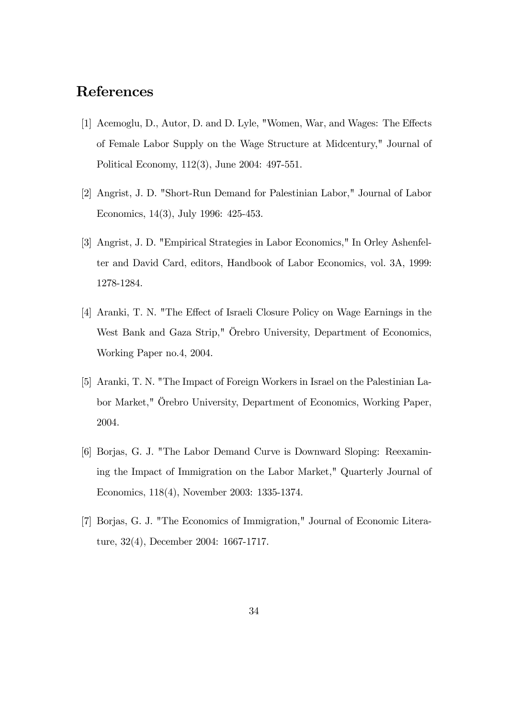## References

- [1] Acemoglu, D., Autor, D. and D. Lyle, "Women, War, and Wages: The Effects of Female Labor Supply on the Wage Structure at Midcentury," Journal of Political Economy, 112(3), June 2004: 497-551.
- [2] Angrist, J. D. "Short-Run Demand for Palestinian Labor," Journal of Labor Economics, 14(3), July 1996: 425-453.
- [3] Angrist, J. D. "Empirical Strategies in Labor Economics," In Orley Ashenfelter and David Card, editors, Handbook of Labor Economics, vol. 3A, 1999: 1278-1284.
- [4] Aranki, T. N. "The Effect of Israeli Closure Policy on Wage Earnings in the West Bank and Gaza Strip," Örebro University, Department of Economics, Working Paper no.4, 2004.
- [5] Aranki, T. N. "The Impact of Foreign Workers in Israel on the Palestinian Labor Market," Orebro University, Department of Economics, Working Paper, 2004.
- [6] Borjas, G. J. "The Labor Demand Curve is Downward Sloping: Reexamining the Impact of Immigration on the Labor Market," Quarterly Journal of Economics, 118(4), November 2003: 1335-1374.
- [7] Borjas, G. J. "The Economics of Immigration," Journal of Economic Literature, 32(4), December 2004: 1667-1717.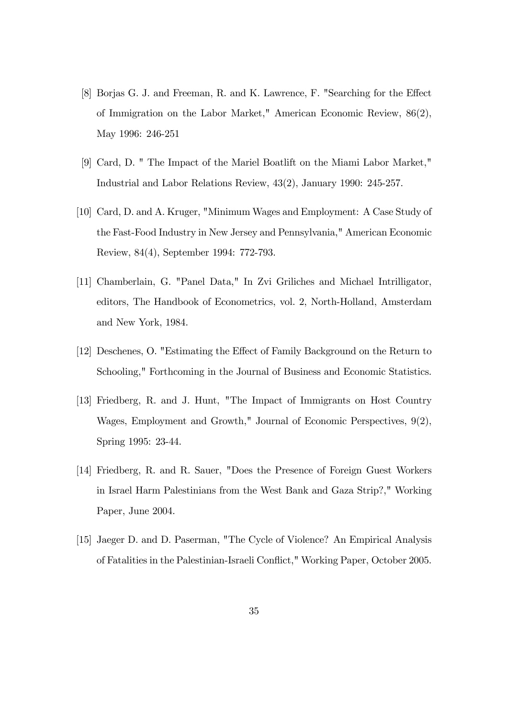- [8] Borjas G. J. and Freeman, R. and K. Lawrence, F. "Searching for the Effect of Immigration on the Labor Market," American Economic Review, 86(2), May 1996: 246-251
- [9] Card, D. " The Impact of the Mariel Boatlift on the Miami Labor Market," Industrial and Labor Relations Review, 43(2), January 1990: 245-257.
- [10] Card, D. and A. Kruger, "Minimum Wages and Employment: A Case Study of the Fast-Food Industry in New Jersey and Pennsylvania," American Economic Review, 84(4), September 1994: 772-793.
- [11] Chamberlain, G. "Panel Data," In Zvi Griliches and Michael Intrilligator, editors, The Handbook of Econometrics, vol. 2, North-Holland, Amsterdam and New York, 1984.
- [12] Deschenes, O. "Estimating the Effect of Family Background on the Return to Schooling," Forthcoming in the Journal of Business and Economic Statistics.
- [13] Friedberg, R. and J. Hunt, "The Impact of Immigrants on Host Country Wages, Employment and Growth," Journal of Economic Perspectives, 9(2), Spring 1995: 23-44.
- [14] Friedberg, R. and R. Sauer, "Does the Presence of Foreign Guest Workers in Israel Harm Palestinians from the West Bank and Gaza Strip?," Working Paper, June 2004.
- [15] Jaeger D. and D. Paserman, "The Cycle of Violence? An Empirical Analysis of Fatalities in the Palestinian-Israeli Conflict," Working Paper, October 2005.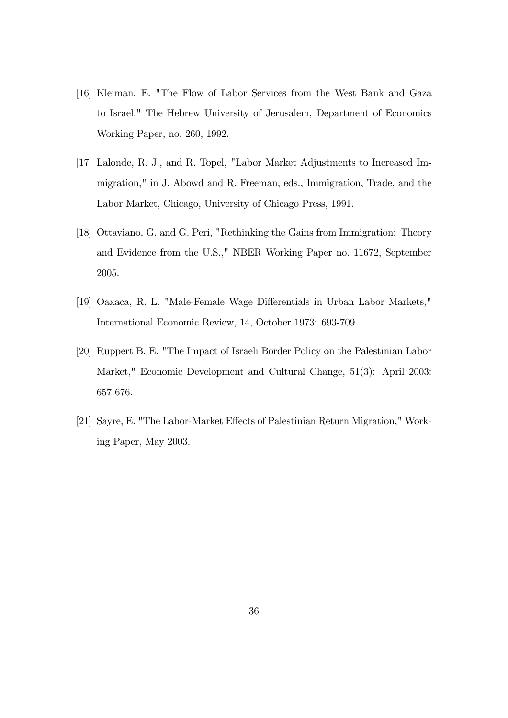- [16] Kleiman, E. "The Flow of Labor Services from the West Bank and Gaza to Israel," The Hebrew University of Jerusalem, Department of Economics Working Paper, no. 260, 1992.
- [17] Lalonde, R. J., and R. Topel, "Labor Market Adjustments to Increased Immigration," in J. Abowd and R. Freeman, eds., Immigration, Trade, and the Labor Market, Chicago, University of Chicago Press, 1991.
- [18] Ottaviano, G. and G. Peri, "Rethinking the Gains from Immigration: Theory and Evidence from the U.S.," NBER Working Paper no. 11672, September 2005.
- [19] Oaxaca, R. L. "Male-Female Wage Differentials in Urban Labor Markets," International Economic Review, 14, October 1973: 693-709.
- [20] Ruppert B. E. "The Impact of Israeli Border Policy on the Palestinian Labor Market," Economic Development and Cultural Change, 51(3): April 2003: 657-676.
- [21] Sayre, E. "The Labor-Market Effects of Palestinian Return Migration," Working Paper, May 2003.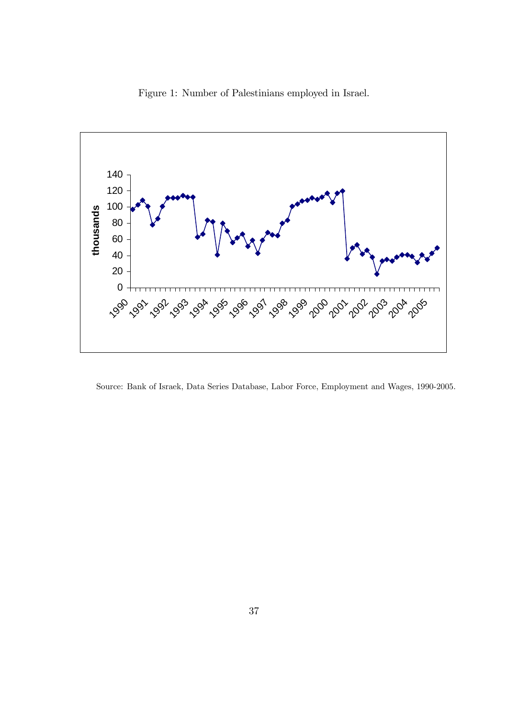



Source: Bank of Israek, Data Series Database, Labor Force, Employment and Wages, 1990-2005.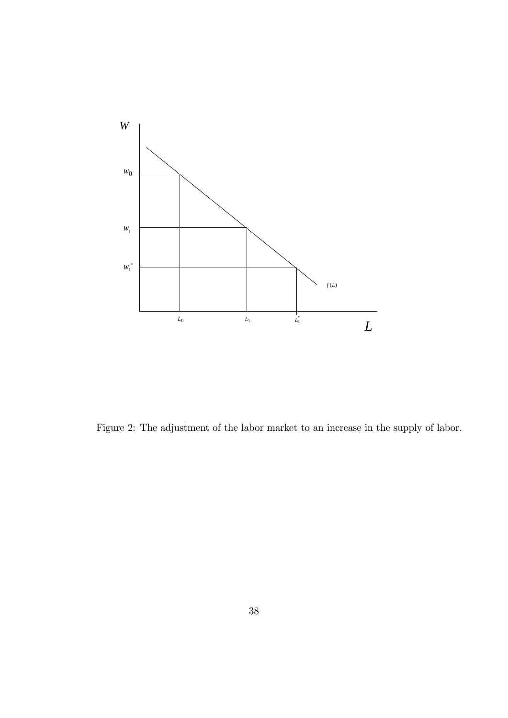

Figure 2: The adjustment of the labor market to an increase in the supply of labor.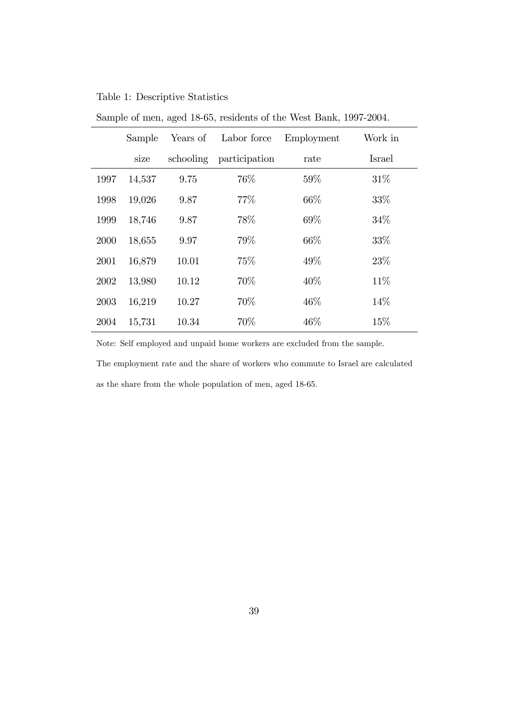### Table 1: Descriptive Statistics

|      | Sample | Years of  | Labor force   | Employment | Work in |
|------|--------|-----------|---------------|------------|---------|
|      | size   | schooling | participation | rate       | Israel  |
| 1997 | 14,537 | 9.75      | 76%           | 59%        | 31\%    |
| 1998 | 19,026 | 9.87      | 77\%          | 66\%       | 33%     |
| 1999 | 18,746 | 9.87      | 78%           | 69%        | 34\%    |
| 2000 | 18,655 | 9.97      | 79%           | 66\%       | 33%     |
| 2001 | 16,879 | 10.01     | 75%           | 49%        | 23\%    |
| 2002 | 13,980 | 10.12     | 70%           | 40\%       | 11\%    |
| 2003 | 16,219 | 10.27     | 70%           | 46\%       | 14\%    |
| 2004 | 15,731 | 10.34     | 70%           | 46\%       | 15%     |

Sample of men, aged 18-65, residents of the West Bank, 1997-2004.

Note: Self employed and unpaid home workers are excluded from the sample.

The employment rate and the share of workers who commute to Israel are calculated as the share from the whole population of men, aged 18-65.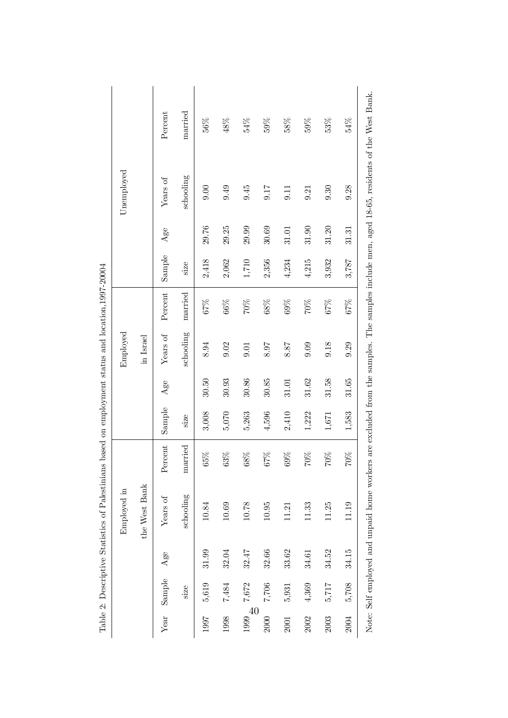|            |                |       | Employed in   |               |         |           | Employed  |         |         |       | Unemployed |         |
|------------|----------------|-------|---------------|---------------|---------|-----------|-----------|---------|---------|-------|------------|---------|
|            |                |       | the West Bank |               |         |           | in Israel |         |         |       |            |         |
| Year       | ${\bf Sample}$ | Age   | Years of      | Percent       | Sample  | Age       | Years of  | Percent | Sample  | Age   | Years of   | Percent |
|            | size           |       | schooling     | married       | size    |           | schooling | married | size    |       | schooling  | married |
| 1997       | 5,619          | 31.99 | 10.84         | $65\%$        | 3,008   | 30.50     | 8.94      | 67%     | 2,418   | 29.76 | 0.00       | 56%     |
| 1998       | 7,484          | 32.04 | 10.69         | $63\%$        | 5,070   | 30.93     | 9.02      | $66\%$  | 2,062   | 29.25 | 0.49       | $48\%$  |
| 40<br>1999 | 7,672          | 32.47 | $10.78\,$     | $68\%$        | 5,263   | 30.86     | 9.01      | $200\%$ | $1,710$ | 29.99 | 9.45       | 54%     |
| 2000       | $7,706$        | 32.66 | $10.95\,$     | $67\%$        | 4,596   | $30.85\,$ | $8.97\,$  | $68\%$  | 2,356   | 30.69 | 9.17       | $59\%$  |
| 2001       | 5,931          | 33.62 | 11.21         | $69\%$        | 2,410   | 31.01     | 8.87      | $69\%$  | 4,234   | 31.01 | 9.11       | 58%     |
| 2002       | 4,369          | 34.61 | 11.33         | $260\text{V}$ | 1,222   | 31.62     | 0.09      | $200\%$ | 4,215   | 31.90 | 9.21       | $59\%$  |
| 2003       | 5,717          | 34.52 | 11.25         | $70\%$        | $1,671$ | 31.58     | 9.18      | $67\%$  | 3,932   | 31.20 | 9.30       | 53%     |
| 2004       | 5,708          | 34.15 | 11.19         | $70\%$        | 1,583   | 31.65     | 9.29      | $67\%$  | 3,787   | 31.31 | 9.28       | 54%     |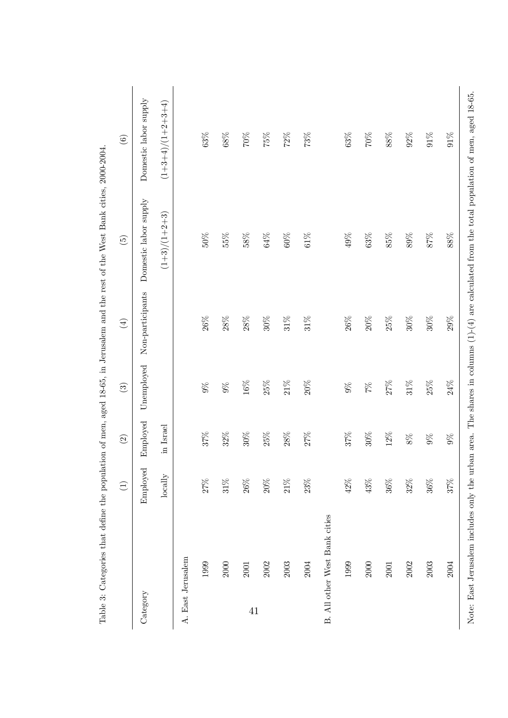|                   |                               | $\left(1\right)$ | $\odot$   | $\odot$       | $\bigoplus$      | $\begin{pmatrix} 5 \end{pmatrix}$                                                                                                               | $\copyright$          |
|-------------------|-------------------------------|------------------|-----------|---------------|------------------|-------------------------------------------------------------------------------------------------------------------------------------------------|-----------------------|
| Category          |                               | Employed         | Employed  | Unemployed    | Non-participants | Domestic labor supply                                                                                                                           | Domestic labor supply |
|                   |                               | locally          | in Israel |               |                  | $(1+3)/(1+2+3)$                                                                                                                                 | $(1+3+4)/(1+2+3+4)$   |
| A. East Jerusalem |                               |                  |           |               |                  |                                                                                                                                                 |                       |
|                   | 1999                          | 27%              | $37\%$    | $9\%$         | $26\%$           | $50\%$                                                                                                                                          | $63\%$                |
|                   | 2000                          | $31\%$           | $32\%$    | $9\%$         | $28\%$           | $55\%$                                                                                                                                          | $68\%$                |
| $41\,$            | 2001                          | $26\%$           | $30\%$    | $16\%$        | $28\%$           | $58\%$                                                                                                                                          | $200\%$               |
|                   | 2002                          | $20\%$           | $25\%$    | $25\%$        | $30\%$           | $64\%$                                                                                                                                          | $75\%$                |
|                   | 2003                          | $21\%$           | $28\%$    | $21\%$        | $31\%$           | $60\%$                                                                                                                                          | $72\%$                |
|                   | 2004                          | $23\%$           | 27%       | $20\%$        | $31\%$           | $61\%$                                                                                                                                          | 73%                   |
|                   | B. All other West Bank cities |                  |           |               |                  |                                                                                                                                                 |                       |
|                   | 1999                          | $42\%$           | $37\%$    | $9\%$         | $26\%$           | 49%                                                                                                                                             | $63\%$                |
|                   | $2000\,$                      | $43\%$           | $30\%$    | $\frac{5}{2}$ | $20\%$           | $63\%$                                                                                                                                          | $200\times$           |
|                   | 2001                          | $36\%$           | $12\%$    | $27\%$        | $25\%$           | $85\%$                                                                                                                                          | $88\%$                |
|                   | 2002                          | $32\%$           | $8\%$     | $31\%$        | $30\%$           | $89\%$                                                                                                                                          | $92\%$                |
|                   | 2003                          | $36\%$           | $9\%$     | $25\%$        | $30\%$           | $87\%$                                                                                                                                          | $91\%$                |
|                   | 2004                          | 37%              | $9\%$     | $24\%$        | $29\%$           | $88\%$                                                                                                                                          | $91\%$                |
|                   |                               |                  |           |               |                  | Note: East Jerusalem includes only the urban area. The shares in columns $(1)-(4)$ are calculated from the total population of men, aged 18-65. |                       |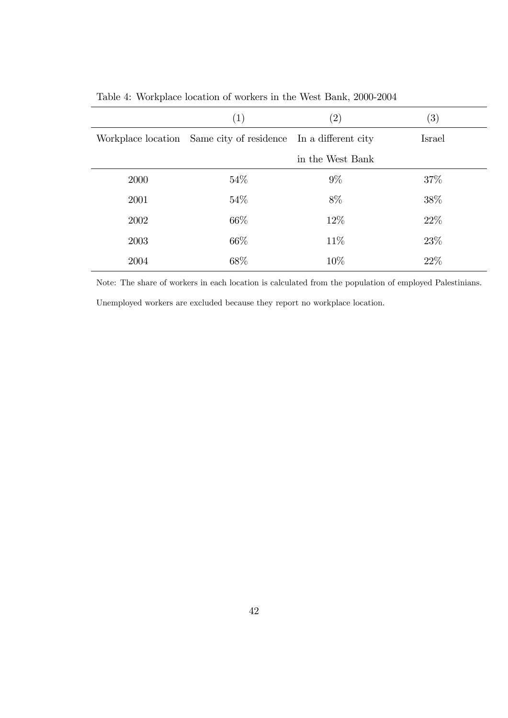|      | $\left( 1\right)$                                             | $\left( 2\right)$ | (3)    |
|------|---------------------------------------------------------------|-------------------|--------|
|      | Workplace location Same city of residence In a different city |                   | Israel |
|      |                                                               | in the West Bank  |        |
| 2000 | 54\%                                                          | $9\%$             | 37\%   |
| 2001 | 54%                                                           | 8\%               | 38%    |
| 2002 | 66\%                                                          | 12\%              | 22%    |
| 2003 | 66\%                                                          | 11\%              | 23%    |
| 2004 | 68%                                                           | 10%               | 22%    |

Table 4: Workplace location of workers in the West Bank, 2000-2004

Note: The share of workers in each location is calculated from the population of employed Palestinians.

Unemployed workers are excluded because they report no workplace location.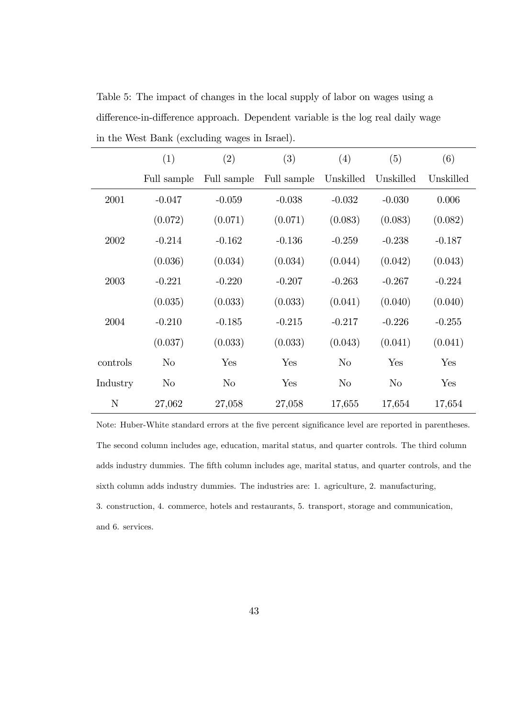Table 5: The impact of changes in the local supply of labor on wages using a difference-in-difference approach. Dependent variable is the log real daily wage in the West Bank (excluding wages in Israel).

|             | (1)            | (2)         | (3)         | (4)       | (5)       | (6)       |
|-------------|----------------|-------------|-------------|-----------|-----------|-----------|
|             | Full sample    | Full sample | Full sample | Unskilled | Unskilled | Unskilled |
| 2001        | $-0.047$       | $-0.059$    | $-0.038$    | $-0.032$  | $-0.030$  | 0.006     |
|             | (0.072)        | (0.071)     | (0.071)     | (0.083)   | (0.083)   | (0.082)   |
| 2002        | $-0.214$       | $-0.162$    | $-0.136$    | $-0.259$  | $-0.238$  | $-0.187$  |
|             | (0.036)        | (0.034)     | (0.034)     | (0.044)   | (0.042)   | (0.043)   |
| 2003        | $-0.221$       | $-0.220$    | $-0.207$    | $-0.263$  | $-0.267$  | $-0.224$  |
|             | (0.035)        | (0.033)     | (0.033)     | (0.041)   | (0.040)   | (0.040)   |
| 2004        | $-0.210$       | $-0.185$    | $-0.215$    | $-0.217$  | $-0.226$  | $-0.255$  |
|             | (0.037)        | (0.033)     | (0.033)     | (0.043)   | (0.041)   | (0.041)   |
| controls    | N <sub>o</sub> | Yes         | Yes         | $\rm No$  | Yes       | Yes       |
| Industry    | $\rm No$       | No          | Yes         | No        | No        | Yes       |
| $\mathbf N$ | 27,062         | 27,058      | 27,058      | 17,655    | 17,654    | 17,654    |

Note: Huber-White standard errors at the five percent significance level are reported in parentheses. The second column includes age, education, marital status, and quarter controls. The third column adds industry dummies. The fifth column includes age, marital status, and quarter controls, and the sixth column adds industry dummies. The industries are: 1. agriculture, 2. manufacturing, 3. construction, 4. commerce, hotels and restaurants, 5. transport, storage and communication, and 6. services.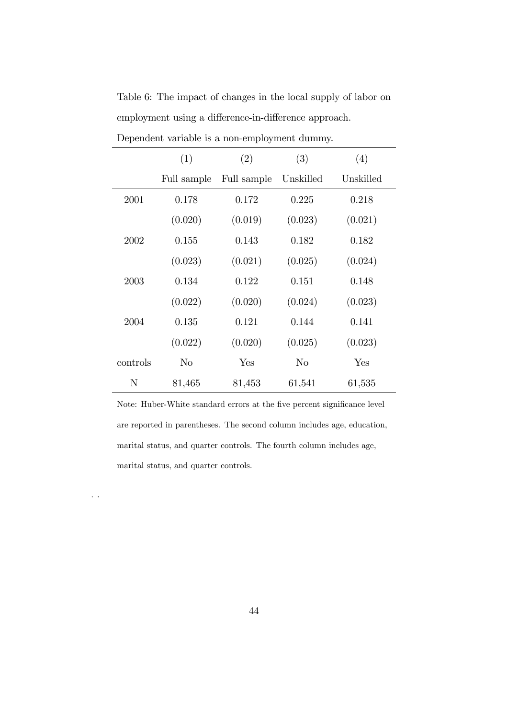|          | (1)         | (2)         | (3)       | (4)       |
|----------|-------------|-------------|-----------|-----------|
|          | Full sample | Full sample | Unskilled | Unskilled |
| 2001     | 0.178       | 0.172       | 0.225     | 0.218     |
|          | (0.020)     | (0.019)     | (0.023)   | (0.021)   |
| 2002     | 0.155       | 0.143       | 0.182     | 0.182     |
|          | (0.023)     | (0.021)     | (0.025)   | (0.024)   |
| 2003     | 0.134       | 0.122       | 0.151     | 0.148     |
|          | (0.022)     | (0.020)     | (0.024)   | (0.023)   |
| 2004     | 0.135       | 0.121       | 0.144     | 0.141     |
|          | (0.022)     | (0.020)     | (0.025)   | (0.023)   |
| controls | $\rm No$    | Yes         | No        | Yes       |
| N        | 81,465      | 81,453      | 61,541    | 61,535    |

Table 6: The impact of changes in the local supply of labor on employment using a difference-in-difference approach. Dependent variable is a non-employment dummy.

Note: Huber-White standard errors at the five percent significance level are reported in parentheses. The second column includes age, education, marital status, and quarter controls. The fourth column includes age, marital status, and quarter controls.

. .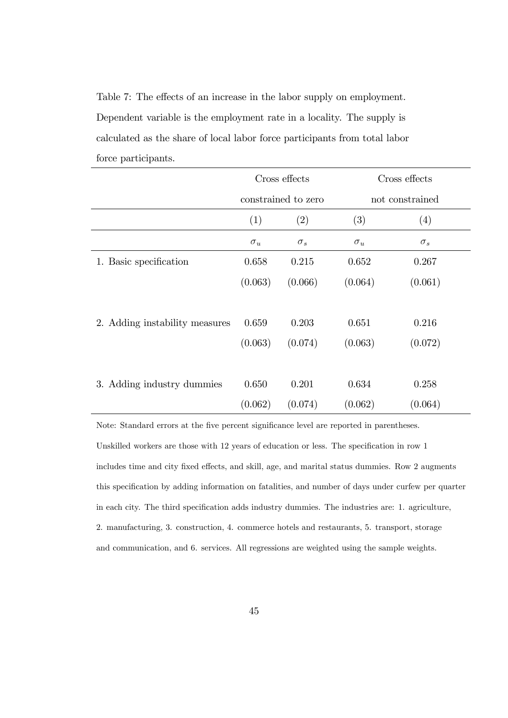Table 7: The effects of an increase in the labor supply on employment. Dependent variable is the employment rate in a locality. The supply is calculated as the share of local labor force participants from total labor force participants.

|                                |            | Cross effects       |            | Cross effects   |  |
|--------------------------------|------------|---------------------|------------|-----------------|--|
|                                |            | constrained to zero |            | not constrained |  |
|                                | (1)        | (2)                 | (3)        | (4)             |  |
|                                | $\sigma_u$ | $\sigma_s$          | $\sigma_u$ | $\sigma_s$      |  |
| 1. Basic specification         | 0.658      | 0.215               | 0.652      | 0.267           |  |
|                                | (0.063)    | (0.066)             | (0.064)    | (0.061)         |  |
|                                |            |                     |            |                 |  |
| 2. Adding instability measures | 0.659      | 0.203               | 0.651      | 0.216           |  |
|                                | (0.063)    | (0.074)             | (0.063)    | (0.072)         |  |
|                                |            |                     |            |                 |  |
| 3. Adding industry dummies     | 0.650      | 0.201               | 0.634      | 0.258           |  |
|                                | (0.062)    | (0.074)             | (0.062)    | (0.064)         |  |

Note: Standard errors at the five percent significance level are reported in parentheses. Unskilled workers are those with  $12$  years of education or less. The specification in row 1 includes time and city fixed effects, and skill, age, and marital status dummies. Row 2 augments this specification by adding information on fatalities, and number of days under curfew per quarter in each city. The third specification adds industry dummies. The industries are: 1. agriculture, 2. manufacturing, 3. construction, 4. commerce hotels and restaurants, 5. transport, storage and communication, and 6. services. All regressions are weighted using the sample weights.